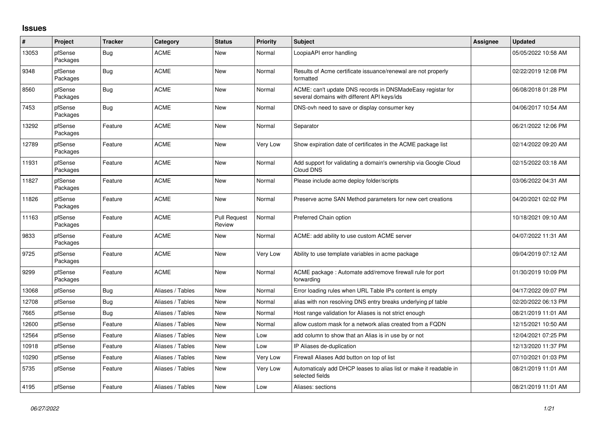## **Issues**

| $\pmb{\sharp}$ | Project             | <b>Tracker</b> | Category         | <b>Status</b>                 | Priority        | <b>Subject</b>                                                                                            | Assignee | <b>Updated</b>      |
|----------------|---------------------|----------------|------------------|-------------------------------|-----------------|-----------------------------------------------------------------------------------------------------------|----------|---------------------|
| 13053          | pfSense<br>Packages | Bug            | <b>ACME</b>      | <b>New</b>                    | Normal          | LoopiaAPI error handling                                                                                  |          | 05/05/2022 10:58 AM |
| 9348           | pfSense<br>Packages | <b>Bug</b>     | <b>ACME</b>      | <b>New</b>                    | Normal          | Results of Acme certificate issuance/renewal are not properly<br>formatted                                |          | 02/22/2019 12:08 PM |
| 8560           | pfSense<br>Packages | Bug            | <b>ACME</b>      | New                           | Normal          | ACME: can't update DNS records in DNSMadeEasy registar for<br>several domains with different API keys/ids |          | 06/08/2018 01:28 PM |
| 7453           | pfSense<br>Packages | Bug            | <b>ACME</b>      | <b>New</b>                    | Normal          | DNS-ovh need to save or display consumer key                                                              |          | 04/06/2017 10:54 AM |
| 13292          | pfSense<br>Packages | Feature        | <b>ACME</b>      | <b>New</b>                    | Normal          | Separator                                                                                                 |          | 06/21/2022 12:06 PM |
| 12789          | pfSense<br>Packages | Feature        | <b>ACME</b>      | New                           | <b>Very Low</b> | Show expiration date of certificates in the ACME package list                                             |          | 02/14/2022 09:20 AM |
| 11931          | pfSense<br>Packages | Feature        | <b>ACME</b>      | <b>New</b>                    | Normal          | Add support for validating a domain's ownership via Google Cloud<br>Cloud DNS                             |          | 02/15/2022 03:18 AM |
| 11827          | pfSense<br>Packages | Feature        | <b>ACME</b>      | <b>New</b>                    | Normal          | Please include acme deploy folder/scripts                                                                 |          | 03/06/2022 04:31 AM |
| 11826          | pfSense<br>Packages | Feature        | <b>ACME</b>      | New                           | Normal          | Preserve acme SAN Method parameters for new cert creations                                                |          | 04/20/2021 02:02 PM |
| 11163          | pfSense<br>Packages | Feature        | <b>ACME</b>      | <b>Pull Request</b><br>Review | Normal          | Preferred Chain option                                                                                    |          | 10/18/2021 09:10 AM |
| 9833           | pfSense<br>Packages | Feature        | <b>ACME</b>      | <b>New</b>                    | Normal          | ACME: add ability to use custom ACME server                                                               |          | 04/07/2022 11:31 AM |
| 9725           | pfSense<br>Packages | Feature        | <b>ACME</b>      | <b>New</b>                    | Very Low        | Ability to use template variables in acme package                                                         |          | 09/04/2019 07:12 AM |
| 9299           | pfSense<br>Packages | Feature        | <b>ACME</b>      | <b>New</b>                    | Normal          | ACME package: Automate add/remove firewall rule for port<br>forwarding                                    |          | 01/30/2019 10:09 PM |
| 13068          | pfSense             | <b>Bug</b>     | Aliases / Tables | <b>New</b>                    | Normal          | Error loading rules when URL Table IPs content is empty                                                   |          | 04/17/2022 09:07 PM |
| 12708          | pfSense             | Bug            | Aliases / Tables | New                           | Normal          | alias with non resolving DNS entry breaks underlying pf table                                             |          | 02/20/2022 06:13 PM |
| 7665           | pfSense             | Bug            | Aliases / Tables | New                           | Normal          | Host range validation for Aliases is not strict enough                                                    |          | 08/21/2019 11:01 AM |
| 12600          | pfSense             | Feature        | Aliases / Tables | <b>New</b>                    | Normal          | allow custom mask for a network alias created from a FQDN                                                 |          | 12/15/2021 10:50 AM |
| 12564          | pfSense             | Feature        | Aliases / Tables | <b>New</b>                    | Low             | add column to show that an Alias is in use by or not                                                      |          | 12/04/2021 07:25 PM |
| 10918          | pfSense             | Feature        | Aliases / Tables | New                           | Low             | IP Aliases de-duplication                                                                                 |          | 12/13/2020 11:37 PM |
| 10290          | pfSense             | Feature        | Aliases / Tables | New                           | <b>Very Low</b> | Firewall Aliases Add button on top of list                                                                |          | 07/10/2021 01:03 PM |
| 5735           | pfSense             | Feature        | Aliases / Tables | New                           | Very Low        | Automaticaly add DHCP leases to alias list or make it readable in<br>selected fields                      |          | 08/21/2019 11:01 AM |
| 4195           | pfSense             | Feature        | Aliases / Tables | New                           | Low             | Aliases: sections                                                                                         |          | 08/21/2019 11:01 AM |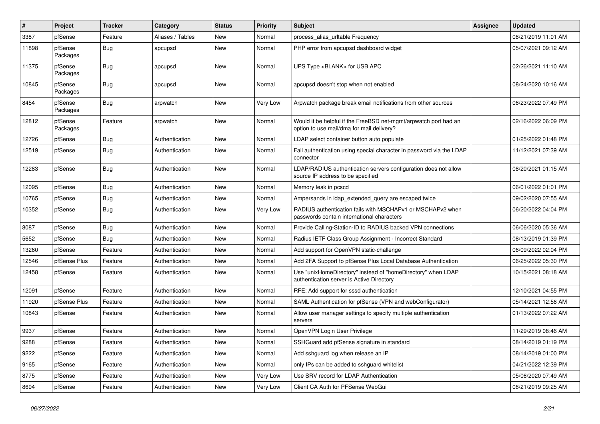| $\vert$ # | Project             | <b>Tracker</b> | Category         | <b>Status</b> | <b>Priority</b> | <b>Subject</b>                                                                                                | <b>Assignee</b> | <b>Updated</b>      |
|-----------|---------------------|----------------|------------------|---------------|-----------------|---------------------------------------------------------------------------------------------------------------|-----------------|---------------------|
| 3387      | pfSense             | Feature        | Aliases / Tables | <b>New</b>    | Normal          | process alias urltable Frequency                                                                              |                 | 08/21/2019 11:01 AM |
| 11898     | pfSense<br>Packages | <b>Bug</b>     | apcupsd          | New           | Normal          | PHP error from apcupsd dashboard widget                                                                       |                 | 05/07/2021 09:12 AM |
| 11375     | pfSense<br>Packages | Bug            | apcupsd          | New           | Normal          | UPS Type <blank> for USB APC</blank>                                                                          |                 | 02/26/2021 11:10 AM |
| 10845     | pfSense<br>Packages | <b>Bug</b>     | apcupsd          | New           | Normal          | apcupsd doesn't stop when not enabled                                                                         |                 | 08/24/2020 10:16 AM |
| 8454      | pfSense<br>Packages | Bug            | arpwatch         | <b>New</b>    | Very Low        | Arpwatch package break email notifications from other sources                                                 |                 | 06/23/2022 07:49 PM |
| 12812     | pfSense<br>Packages | Feature        | arpwatch         | New           | Normal          | Would it be helpful if the FreeBSD net-mgmt/arpwatch port had an<br>option to use mail/dma for mail delivery? |                 | 02/16/2022 06:09 PM |
| 12726     | pfSense             | <b>Bug</b>     | Authentication   | New           | Normal          | LDAP select container button auto populate                                                                    |                 | 01/25/2022 01:48 PM |
| 12519     | pfSense             | <b>Bug</b>     | Authentication   | New           | Normal          | Fail authentication using special character in password via the LDAP<br>connector                             |                 | 11/12/2021 07:39 AM |
| 12283     | pfSense             | Bug            | Authentication   | New           | Normal          | LDAP/RADIUS authentication servers configuration does not allow<br>source IP address to be specified          |                 | 08/20/2021 01:15 AM |
| 12095     | pfSense             | <b>Bug</b>     | Authentication   | New           | Normal          | Memory leak in pcscd                                                                                          |                 | 06/01/2022 01:01 PM |
| 10765     | pfSense             | <b>Bug</b>     | Authentication   | New           | Normal          | Ampersands in Idap extended query are escaped twice                                                           |                 | 09/02/2020 07:55 AM |
| 10352     | pfSense             | <b>Bug</b>     | Authentication   | New           | Very Low        | RADIUS authentication fails with MSCHAPv1 or MSCHAPv2 when<br>passwords contain international characters      |                 | 06/20/2022 04:04 PM |
| 8087      | pfSense             | Bug            | Authentication   | New           | Normal          | Provide Calling-Station-ID to RADIUS backed VPN connections                                                   |                 | 06/06/2020 05:36 AM |
| 5652      | pfSense             | Bug            | Authentication   | New           | Normal          | Radius IETF Class Group Assignment - Incorrect Standard                                                       |                 | 08/13/2019 01:39 PM |
| 13260     | pfSense             | Feature        | Authentication   | New           | Normal          | Add support for OpenVPN static-challenge                                                                      |                 | 06/09/2022 02:04 PM |
| 12546     | pfSense Plus        | Feature        | Authentication   | New           | Normal          | Add 2FA Support to pfSense Plus Local Database Authentication                                                 |                 | 06/25/2022 05:30 PM |
| 12458     | pfSense             | Feature        | Authentication   | New           | Normal          | Use "unixHomeDirectory" instead of "homeDirectory" when LDAP<br>authentication server is Active Directory     |                 | 10/15/2021 08:18 AM |
| 12091     | pfSense             | Feature        | Authentication   | <b>New</b>    | Normal          | RFE: Add support for sssd authentication                                                                      |                 | 12/10/2021 04:55 PM |
| 11920     | pfSense Plus        | Feature        | Authentication   | <b>New</b>    | Normal          | SAML Authentication for pfSense (VPN and webConfigurator)                                                     |                 | 05/14/2021 12:56 AM |
| 10843     | pfSense             | Feature        | Authentication   | New           | Normal          | Allow user manager settings to specify multiple authentication<br>servers                                     |                 | 01/13/2022 07:22 AM |
| 9937      | pfSense             | Feature        | Authentication   | New           | Normal          | OpenVPN Login User Privilege                                                                                  |                 | 11/29/2019 08:46 AM |
| 9288      | pfSense             | Feature        | Authentication   | New           | Normal          | SSHGuard add pfSense signature in standard                                                                    |                 | 08/14/2019 01:19 PM |
| 9222      | pfSense             | Feature        | Authentication   | New           | Normal          | Add sshguard log when release an IP                                                                           |                 | 08/14/2019 01:00 PM |
| 9165      | pfSense             | Feature        | Authentication   | New           | Normal          | only IPs can be added to sshguard whitelist                                                                   |                 | 04/21/2022 12:39 PM |
| 8775      | pfSense             | Feature        | Authentication   | New           | Very Low        | Use SRV record for LDAP Authentication                                                                        |                 | 05/06/2020 07:49 AM |
| 8694      | pfSense             | Feature        | Authentication   | New           | Very Low        | Client CA Auth for PFSense WebGui                                                                             |                 | 08/21/2019 09:25 AM |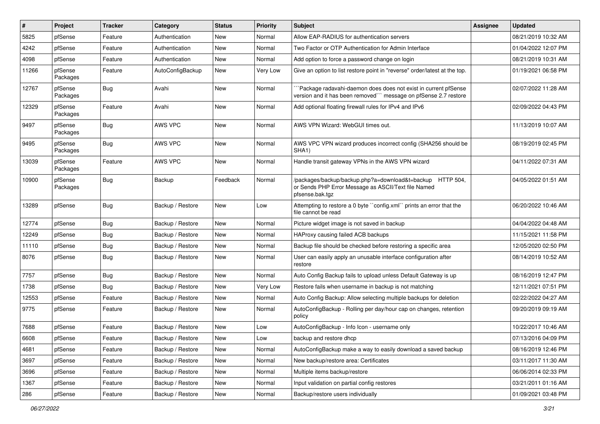| #     | Project             | Tracker    | Category         | <b>Status</b> | <b>Priority</b> | Subject                                                                                                                             | <b>Assignee</b> | Updated             |
|-------|---------------------|------------|------------------|---------------|-----------------|-------------------------------------------------------------------------------------------------------------------------------------|-----------------|---------------------|
| 5825  | pfSense             | Feature    | Authentication   | New           | Normal          | Allow EAP-RADIUS for authentication servers                                                                                         |                 | 08/21/2019 10:32 AM |
| 4242  | pfSense             | Feature    | Authentication   | New           | Normal          | Two Factor or OTP Authentication for Admin Interface                                                                                |                 | 01/04/2022 12:07 PM |
| 4098  | pfSense             | Feature    | Authentication   | New           | Normal          | Add option to force a password change on login                                                                                      |                 | 08/21/2019 10:31 AM |
| 11266 | pfSense<br>Packages | Feature    | AutoConfigBackup | New           | Very Low        | Give an option to list restore point in "reverse" order/latest at the top.                                                          |                 | 01/19/2021 06:58 PM |
| 12767 | pfSense<br>Packages | Bug        | Avahi            | New           | Normal          | Package radavahi-daemon does does not exist in current pfSense<br>version and it has been removed``` message on pfSense 2.7 restore |                 | 02/07/2022 11:28 AM |
| 12329 | pfSense<br>Packages | Feature    | Avahi            | New           | Normal          | Add optional floating firewall rules for IPv4 and IPv6                                                                              |                 | 02/09/2022 04:43 PM |
| 9497  | pfSense<br>Packages | <b>Bug</b> | AWS VPC          | New           | Normal          | AWS VPN Wizard: WebGUI times out.                                                                                                   |                 | 11/13/2019 10:07 AM |
| 9495  | pfSense<br>Packages | Bug        | AWS VPC          | New           | Normal          | AWS VPC VPN wizard produces incorrect config (SHA256 should be<br>SHA1)                                                             |                 | 08/19/2019 02:45 PM |
| 13039 | pfSense<br>Packages | Feature    | AWS VPC          | New           | Normal          | Handle transit gateway VPNs in the AWS VPN wizard                                                                                   |                 | 04/11/2022 07:31 AM |
| 10900 | pfSense<br>Packages | <b>Bug</b> | Backup           | Feedback      | Normal          | /packages/backup/backup.php?a=download&t=backup HTTP 504,<br>or Sends PHP Error Message as ASCII/Text file Named<br>pfsense.bak.tgz |                 | 04/05/2022 01:51 AM |
| 13289 | pfSense             | Bug        | Backup / Restore | New           | Low             | Attempting to restore a 0 byte "config.xml" prints an error that the<br>file cannot be read                                         |                 | 06/20/2022 10:46 AM |
| 12774 | pfSense             | Bug        | Backup / Restore | New           | Normal          | Picture widget image is not saved in backup                                                                                         |                 | 04/04/2022 04:48 AM |
| 12249 | pfSense             | Bug        | Backup / Restore | New           | Normal          | HAProxy causing failed ACB backups                                                                                                  |                 | 11/15/2021 11:58 PM |
| 11110 | pfSense             | Bug        | Backup / Restore | New           | Normal          | Backup file should be checked before restoring a specific area                                                                      |                 | 12/05/2020 02:50 PM |
| 8076  | pfSense             | Bug        | Backup / Restore | New           | Normal          | User can easily apply an unusable interface configuration after<br>restore                                                          |                 | 08/14/2019 10:52 AM |
| 7757  | pfSense             | Bug        | Backup / Restore | New           | Normal          | Auto Config Backup fails to upload unless Default Gateway is up                                                                     |                 | 08/16/2019 12:47 PM |
| 1738  | pfSense             | Bug        | Backup / Restore | New           | Very Low        | Restore fails when username in backup is not matching                                                                               |                 | 12/11/2021 07:51 PM |
| 12553 | pfSense             | Feature    | Backup / Restore | New           | Normal          | Auto Config Backup: Allow selecting multiple backups for deletion                                                                   |                 | 02/22/2022 04:27 AM |
| 9775  | pfSense             | Feature    | Backup / Restore | New           | Normal          | AutoConfigBackup - Rolling per day/hour cap on changes, retention<br>policy                                                         |                 | 09/20/2019 09:19 AM |
| 7688  | pfSense             | Feature    | Backup / Restore | New           | Low             | AutoConfigBackup - Info Icon - username only                                                                                        |                 | 10/22/2017 10:46 AM |
| 6608  | pfSense             | Feature    | Backup / Restore | New           | Low             | backup and restore dhcp                                                                                                             |                 | 07/13/2016 04:09 PM |
| 4681  | pfSense             | Feature    | Backup / Restore | New           | Normal          | AutoConfigBackup make a way to easily download a saved backup                                                                       |                 | 08/16/2019 12:46 PM |
| 3697  | pfSense             | Feature    | Backup / Restore | New           | Normal          | New backup/restore area: Certificates                                                                                               |                 | 03/11/2017 11:30 AM |
| 3696  | pfSense             | Feature    | Backup / Restore | New           | Normal          | Multiple items backup/restore                                                                                                       |                 | 06/06/2014 02:33 PM |
| 1367  | pfSense             | Feature    | Backup / Restore | New           | Normal          | Input validation on partial config restores                                                                                         |                 | 03/21/2011 01:16 AM |
| 286   | pfSense             | Feature    | Backup / Restore | New           | Normal          | Backup/restore users individually                                                                                                   |                 | 01/09/2021 03:48 PM |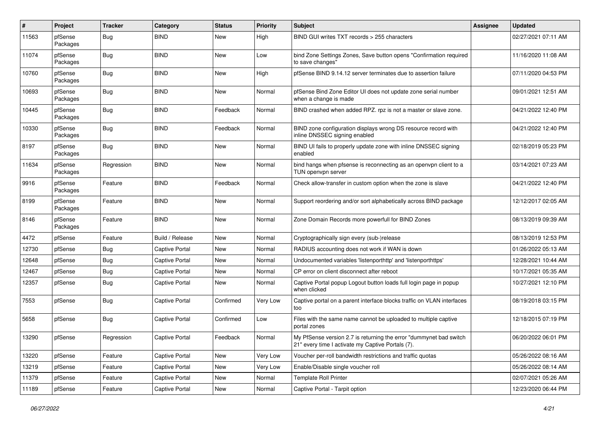| #     | Project             | <b>Tracker</b> | Category              | <b>Status</b> | <b>Priority</b> | Subject                                                                                                                 | <b>Assignee</b> | <b>Updated</b>      |
|-------|---------------------|----------------|-----------------------|---------------|-----------------|-------------------------------------------------------------------------------------------------------------------------|-----------------|---------------------|
| 11563 | pfSense<br>Packages | Bug            | <b>BIND</b>           | New           | High            | BIND GUI writes TXT records > 255 characters                                                                            |                 | 02/27/2021 07:11 AM |
| 11074 | pfSense<br>Packages | <b>Bug</b>     | <b>BIND</b>           | New           | Low             | bind Zone Settings Zones, Save button opens "Confirmation required<br>to save changes"                                  |                 | 11/16/2020 11:08 AM |
| 10760 | pfSense<br>Packages | <b>Bug</b>     | <b>BIND</b>           | New           | High            | pfSense BIND 9.14.12 server terminates due to assertion failure                                                         |                 | 07/11/2020 04:53 PM |
| 10693 | pfSense<br>Packages | Bug            | <b>BIND</b>           | New           | Normal          | pfSense Bind Zone Editor UI does not update zone serial number<br>when a change is made                                 |                 | 09/01/2021 12:51 AM |
| 10445 | pfSense<br>Packages | Bug            | <b>BIND</b>           | Feedback      | Normal          | BIND crashed when added RPZ. rpz is not a master or slave zone.                                                         |                 | 04/21/2022 12:40 PM |
| 10330 | pfSense<br>Packages | Bug            | <b>BIND</b>           | Feedback      | Normal          | BIND zone configuration displays wrong DS resource record with<br>inline DNSSEC signing enabled                         |                 | 04/21/2022 12:40 PM |
| 8197  | pfSense<br>Packages | Bug            | <b>BIND</b>           | New           | Normal          | BIND UI fails to properly update zone with inline DNSSEC signing<br>enabled                                             |                 | 02/18/2019 05:23 PM |
| 11634 | pfSense<br>Packages | Regression     | <b>BIND</b>           | New           | Normal          | bind hangs when pfsense is reconnecting as an openvpn client to a<br>TUN openvpn server                                 |                 | 03/14/2021 07:23 AM |
| 9916  | pfSense<br>Packages | Feature        | <b>BIND</b>           | Feedback      | Normal          | Check allow-transfer in custom option when the zone is slave                                                            |                 | 04/21/2022 12:40 PM |
| 8199  | pfSense<br>Packages | Feature        | <b>BIND</b>           | <b>New</b>    | Normal          | Support reordering and/or sort alphabetically across BIND package                                                       |                 | 12/12/2017 02:05 AM |
| 8146  | pfSense<br>Packages | Feature        | <b>BIND</b>           | New           | Normal          | Zone Domain Records more powerfull for BIND Zones                                                                       |                 | 08/13/2019 09:39 AM |
| 4472  | pfSense             | Feature        | Build / Release       | New           | Normal          | Cryptographically sign every (sub-)release                                                                              |                 | 08/13/2019 12:53 PM |
| 12730 | pfSense             | <b>Bug</b>     | <b>Captive Portal</b> | <b>New</b>    | Normal          | RADIUS accounting does not work if WAN is down                                                                          |                 | 01/26/2022 05:13 AM |
| 12648 | pfSense             | Bug            | <b>Captive Portal</b> | New           | Normal          | Undocumented variables 'listenporthttp' and 'listenporthttps'                                                           |                 | 12/28/2021 10:44 AM |
| 12467 | pfSense             | Bug            | <b>Captive Portal</b> | New           | Normal          | CP error on client disconnect after reboot                                                                              |                 | 10/17/2021 05:35 AM |
| 12357 | pfSense             | Bug            | <b>Captive Portal</b> | New           | Normal          | Captive Portal popup Logout button loads full login page in popup<br>when clicked                                       |                 | 10/27/2021 12:10 PM |
| 7553  | pfSense             | Bug            | <b>Captive Portal</b> | Confirmed     | Very Low        | Captive portal on a parent interface blocks traffic on VLAN interfaces<br>too                                           |                 | 08/19/2018 03:15 PM |
| 5658  | pfSense             | Bug            | <b>Captive Portal</b> | Confirmed     | Low             | Files with the same name cannot be uploaded to multiple captive<br>portal zones                                         |                 | 12/18/2015 07:19 PM |
| 13290 | pfSense             | Regression     | Captive Portal        | Feedback      | Normal          | My PfSense version 2.7 is returning the error "dummynet bad switch<br>21" every time I activate my Captive Portals (7). |                 | 06/20/2022 06:01 PM |
| 13220 | pfSense             | Feature        | <b>Captive Portal</b> | New           | Very Low        | Voucher per-roll bandwidth restrictions and traffic quotas                                                              |                 | 05/26/2022 08:16 AM |
| 13219 | pfSense             | Feature        | <b>Captive Portal</b> | New           | Very Low        | Enable/Disable single voucher roll                                                                                      |                 | 05/26/2022 08:14 AM |
| 11379 | pfSense             | Feature        | Captive Portal        | New           | Normal          | <b>Template Roll Printer</b>                                                                                            |                 | 02/07/2021 05:26 AM |
| 11189 | pfSense             | Feature        | Captive Portal        | New           | Normal          | Captive Portal - Tarpit option                                                                                          |                 | 12/23/2020 06:44 PM |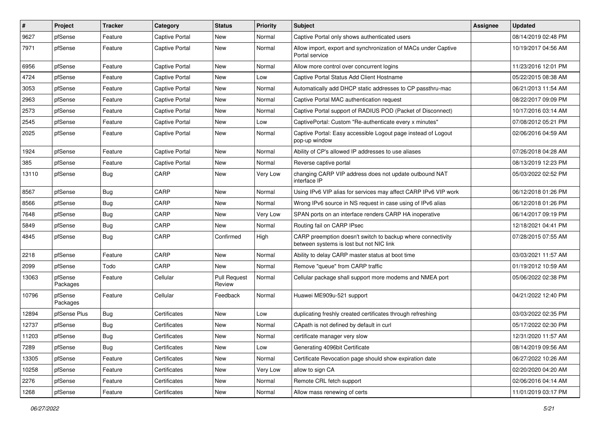| #     | Project             | <b>Tracker</b> | Category              | <b>Status</b>                 | <b>Priority</b> | Subject                                                                                                 | <b>Assignee</b> | Updated             |
|-------|---------------------|----------------|-----------------------|-------------------------------|-----------------|---------------------------------------------------------------------------------------------------------|-----------------|---------------------|
| 9627  | pfSense             | Feature        | Captive Portal        | New                           | Normal          | Captive Portal only shows authenticated users                                                           |                 | 08/14/2019 02:48 PM |
| 7971  | pfSense             | Feature        | <b>Captive Portal</b> | New                           | Normal          | Allow import, export and synchronization of MACs under Captive<br>Portal service                        |                 | 10/19/2017 04:56 AM |
| 6956  | pfSense             | Feature        | <b>Captive Portal</b> | New                           | Normal          | Allow more control over concurrent logins                                                               |                 | 11/23/2016 12:01 PM |
| 4724  | pfSense             | Feature        | <b>Captive Portal</b> | New                           | Low             | Captive Portal Status Add Client Hostname                                                               |                 | 05/22/2015 08:38 AM |
| 3053  | pfSense             | Feature        | <b>Captive Portal</b> | New                           | Normal          | Automatically add DHCP static addresses to CP passthru-mac                                              |                 | 06/21/2013 11:54 AM |
| 2963  | pfSense             | Feature        | <b>Captive Portal</b> | New                           | Normal          | Captive Portal MAC authentication request                                                               |                 | 08/22/2017 09:09 PM |
| 2573  | pfSense             | Feature        | <b>Captive Portal</b> | New                           | Normal          | Captive Portal support of RADIUS POD (Packet of Disconnect)                                             |                 | 10/17/2016 03:14 AM |
| 2545  | pfSense             | Feature        | <b>Captive Portal</b> | New                           | Low             | CaptivePortal: Custom "Re-authenticate every x minutes"                                                 |                 | 07/08/2012 05:21 PM |
| 2025  | pfSense             | Feature        | <b>Captive Portal</b> | New                           | Normal          | Captive Portal: Easy accessible Logout page instead of Logout<br>pop-up window                          |                 | 02/06/2016 04:59 AM |
| 1924  | pfSense             | Feature        | <b>Captive Portal</b> | <b>New</b>                    | Normal          | Ability of CP's allowed IP addresses to use aliases                                                     |                 | 07/26/2018 04:28 AM |
| 385   | pfSense             | Feature        | <b>Captive Portal</b> | New                           | Normal          | Reverse captive portal                                                                                  |                 | 08/13/2019 12:23 PM |
| 13110 | pfSense             | <b>Bug</b>     | CARP                  | New                           | Very Low        | changing CARP VIP address does not update outbound NAT<br>interface IP                                  |                 | 05/03/2022 02:52 PM |
| 8567  | pfSense             | <b>Bug</b>     | CARP                  | New                           | Normal          | Using IPv6 VIP alias for services may affect CARP IPv6 VIP work                                         |                 | 06/12/2018 01:26 PM |
| 8566  | pfSense             | <b>Bug</b>     | CARP                  | New                           | Normal          | Wrong IPv6 source in NS request in case using of IPv6 alias                                             |                 | 06/12/2018 01:26 PM |
| 7648  | pfSense             | <b>Bug</b>     | CARP                  | <b>New</b>                    | Very Low        | SPAN ports on an interface renders CARP HA inoperative                                                  |                 | 06/14/2017 09:19 PM |
| 5849  | pfSense             | <b>Bug</b>     | CARP                  | New                           | Normal          | Routing fail on CARP IPsec                                                                              |                 | 12/18/2021 04:41 PM |
| 4845  | pfSense             | <b>Bug</b>     | CARP                  | Confirmed                     | High            | CARP preemption doesn't switch to backup where connectivity<br>between systems is lost but not NIC link |                 | 07/28/2015 07:55 AM |
| 2218  | pfSense             | Feature        | CARP                  | New                           | Normal          | Ability to delay CARP master status at boot time                                                        |                 | 03/03/2021 11:57 AM |
| 2099  | pfSense             | Todo           | CARP                  | New                           | Normal          | Remove "queue" from CARP traffic                                                                        |                 | 01/19/2012 10:59 AM |
| 13063 | pfSense<br>Packages | Feature        | Cellular              | <b>Pull Request</b><br>Review | Normal          | Cellular package shall support more modems and NMEA port                                                |                 | 05/06/2022 02:38 PM |
| 10796 | pfSense<br>Packages | Feature        | Cellular              | Feedback                      | Normal          | Huawei ME909u-521 support                                                                               |                 | 04/21/2022 12:40 PM |
| 12894 | pfSense Plus        | <b>Bug</b>     | Certificates          | New                           | Low             | duplicating freshly created certificates through refreshing                                             |                 | 03/03/2022 02:35 PM |
| 12737 | pfSense             | <b>Bug</b>     | Certificates          | New                           | Normal          | CApath is not defined by default in curl                                                                |                 | 05/17/2022 02:30 PM |
| 11203 | pfSense             | Bug            | Certificates          | New                           | Normal          | certificate manager very slow                                                                           |                 | 12/31/2020 11:57 AM |
| 7289  | pfSense             | Bug            | Certificates          | New                           | Low             | Generating 4096bit Certificate                                                                          |                 | 08/14/2019 09:56 AM |
| 13305 | pfSense             | Feature        | Certificates          | New                           | Normal          | Certificate Revocation page should show expiration date                                                 |                 | 06/27/2022 10:26 AM |
| 10258 | pfSense             | Feature        | Certificates          | New                           | Very Low        | allow to sign CA                                                                                        |                 | 02/20/2020 04:20 AM |
| 2276  | pfSense             | Feature        | Certificates          | New                           | Normal          | Remote CRL fetch support                                                                                |                 | 02/06/2016 04:14 AM |
| 1268  | pfSense             | Feature        | Certificates          | New                           | Normal          | Allow mass renewing of certs                                                                            |                 | 11/01/2019 03:17 PM |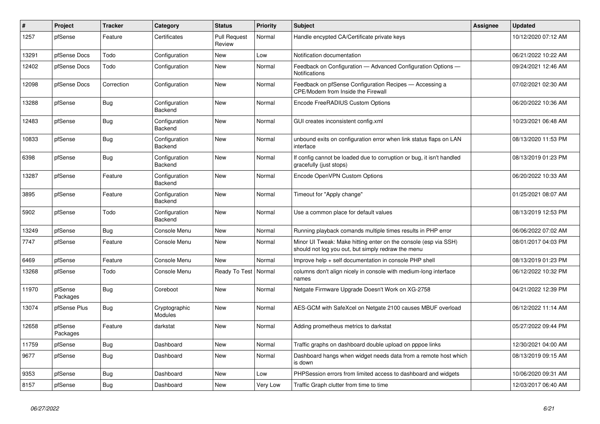| #     | Project             | <b>Tracker</b> | Category                 | <b>Status</b>                 | <b>Priority</b> | <b>Subject</b>                                                                                                        | Assignee | <b>Updated</b>      |
|-------|---------------------|----------------|--------------------------|-------------------------------|-----------------|-----------------------------------------------------------------------------------------------------------------------|----------|---------------------|
| 1257  | pfSense             | Feature        | Certificates             | <b>Pull Request</b><br>Review | Normal          | Handle encypted CA/Certificate private keys                                                                           |          | 10/12/2020 07:12 AM |
| 13291 | pfSense Docs        | Todo           | Configuration            | <b>New</b>                    | Low             | Notification documentation                                                                                            |          | 06/21/2022 10:22 AM |
| 12402 | pfSense Docs        | Todo           | Configuration            | New                           | Normal          | Feedback on Configuration - Advanced Configuration Options -<br>Notifications                                         |          | 09/24/2021 12:46 AM |
| 12098 | pfSense Docs        | Correction     | Configuration            | <b>New</b>                    | Normal          | Feedback on pfSense Configuration Recipes - Accessing a<br><b>CPE/Modem from Inside the Firewall</b>                  |          | 07/02/2021 02:30 AM |
| 13288 | pfSense             | <b>Bug</b>     | Configuration<br>Backend | <b>New</b>                    | Normal          | Encode FreeRADIUS Custom Options                                                                                      |          | 06/20/2022 10:36 AM |
| 12483 | pfSense             | Bug            | Configuration<br>Backend | New                           | Normal          | GUI creates inconsistent config.xml                                                                                   |          | 10/23/2021 06:48 AM |
| 10833 | pfSense             | <b>Bug</b>     | Configuration<br>Backend | New                           | Normal          | unbound exits on configuration error when link status flaps on LAN<br>interface                                       |          | 08/13/2020 11:53 PM |
| 6398  | pfSense             | <b>Bug</b>     | Configuration<br>Backend | <b>New</b>                    | Normal          | If config cannot be loaded due to corruption or bug, it isn't handled<br>gracefully (just stops)                      |          | 08/13/2019 01:23 PM |
| 13287 | pfSense             | Feature        | Configuration<br>Backend | <b>New</b>                    | Normal          | Encode OpenVPN Custom Options                                                                                         |          | 06/20/2022 10:33 AM |
| 3895  | pfSense             | Feature        | Configuration<br>Backend | New                           | Normal          | Timeout for "Apply change"                                                                                            |          | 01/25/2021 08:07 AM |
| 5902  | pfSense             | Todo           | Configuration<br>Backend | New                           | Normal          | Use a common place for default values                                                                                 |          | 08/13/2019 12:53 PM |
| 13249 | pfSense             | Bug            | Console Menu             | New                           | Normal          | Running playback comands multiple times results in PHP error                                                          |          | 06/06/2022 07:02 AM |
| 7747  | pfSense             | Feature        | Console Menu             | <b>New</b>                    | Normal          | Minor UI Tweak: Make hitting enter on the console (esp via SSH)<br>should not log you out, but simply redraw the menu |          | 08/01/2017 04:03 PM |
| 6469  | pfSense             | Feature        | Console Menu             | <b>New</b>                    | Normal          | Improve help + self documentation in console PHP shell                                                                |          | 08/13/2019 01:23 PM |
| 13268 | pfSense             | Todo           | Console Menu             | Ready To Test                 | Normal          | columns don't align nicely in console with medium-long interface<br>names                                             |          | 06/12/2022 10:32 PM |
| 11970 | pfSense<br>Packages | <b>Bug</b>     | Coreboot                 | New                           | Normal          | Netgate Firmware Upgrade Doesn't Work on XG-2758                                                                      |          | 04/21/2022 12:39 PM |
| 13074 | pfSense Plus        | <b>Bug</b>     | Cryptographic<br>Modules | New                           | Normal          | AES-GCM with SafeXcel on Netgate 2100 causes MBUF overload                                                            |          | 06/12/2022 11:14 AM |
| 12658 | pfSense<br>Packages | Feature        | darkstat                 | <b>New</b>                    | Normal          | Adding prometheus metrics to darkstat                                                                                 |          | 05/27/2022 09:44 PM |
| 11759 | pfSense             | <b>Bug</b>     | Dashboard                | New                           | Normal          | Traffic graphs on dashboard double upload on pppoe links                                                              |          | 12/30/2021 04:00 AM |
| 9677  | pfSense             | <b>Bug</b>     | Dashboard                | <b>New</b>                    | Normal          | Dashboard hangs when widget needs data from a remote host which<br>is down                                            |          | 08/13/2019 09:15 AM |
| 9353  | pfSense             | Bug            | Dashboard                | New                           | Low             | PHPSession errors from limited access to dashboard and widgets                                                        |          | 10/06/2020 09:31 AM |
| 8157  | pfSense             | <b>Bug</b>     | Dashboard                | New                           | Very Low        | Traffic Graph clutter from time to time                                                                               |          | 12/03/2017 06:40 AM |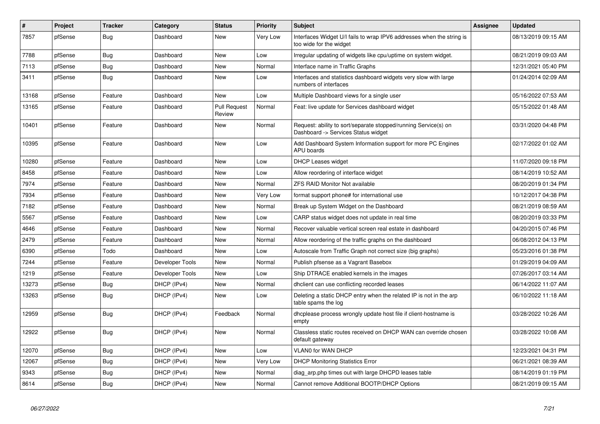| $\sharp$ | Project | <b>Tracker</b> | Category        | <b>Status</b>                 | <b>Priority</b> | <b>Subject</b>                                                                                         | <b>Assignee</b> | <b>Updated</b>      |
|----------|---------|----------------|-----------------|-------------------------------|-----------------|--------------------------------------------------------------------------------------------------------|-----------------|---------------------|
| 7857     | pfSense | Bug            | Dashboard       | New                           | Very Low        | Interfaces Widget U/I fails to wrap IPV6 addresses when the string is<br>too wide for the widget       |                 | 08/13/2019 09:15 AM |
| 7788     | pfSense | <b>Bug</b>     | Dashboard       | <b>New</b>                    | Low             | Irregular updating of widgets like cpu/uptime on system widget.                                        |                 | 08/21/2019 09:03 AM |
| 7113     | pfSense | Bug            | Dashboard       | <b>New</b>                    | Normal          | Interface name in Traffic Graphs                                                                       |                 | 12/31/2021 05:40 PM |
| 3411     | pfSense | <b>Bug</b>     | Dashboard       | <b>New</b>                    | Low             | Interfaces and statistics dashboard widgets very slow with large<br>numbers of interfaces              |                 | 01/24/2014 02:09 AM |
| 13168    | pfSense | Feature        | Dashboard       | <b>New</b>                    | Low             | Multiple Dashboard views for a single user                                                             |                 | 05/16/2022 07:53 AM |
| 13165    | pfSense | Feature        | Dashboard       | <b>Pull Request</b><br>Review | Normal          | Feat: live update for Services dashboard widget                                                        |                 | 05/15/2022 01:48 AM |
| 10401    | pfSense | Feature        | Dashboard       | New                           | Normal          | Request: ability to sort/separate stopped/running Service(s) on<br>Dashboard -> Services Status widget |                 | 03/31/2020 04:48 PM |
| 10395    | pfSense | Feature        | Dashboard       | <b>New</b>                    | Low             | Add Dashboard System Information support for more PC Engines<br><b>APU</b> boards                      |                 | 02/17/2022 01:02 AM |
| 10280    | pfSense | Feature        | Dashboard       | <b>New</b>                    | Low             | DHCP Leases widget                                                                                     |                 | 11/07/2020 09:18 PM |
| 8458     | pfSense | Feature        | Dashboard       | <b>New</b>                    | Low             | Allow reordering of interface widget                                                                   |                 | 08/14/2019 10:52 AM |
| 7974     | pfSense | Feature        | Dashboard       | <b>New</b>                    | Normal          | <b>ZFS RAID Monitor Not available</b>                                                                  |                 | 08/20/2019 01:34 PM |
| 7934     | pfSense | Feature        | Dashboard       | <b>New</b>                    | Very Low        | format support phone# for international use                                                            |                 | 10/12/2017 04:38 PM |
| 7182     | pfSense | Feature        | Dashboard       | New                           | Normal          | Break up System Widget on the Dashboard                                                                |                 | 08/21/2019 08:59 AM |
| 5567     | pfSense | Feature        | Dashboard       | New                           | Low             | CARP status widget does not update in real time                                                        |                 | 08/20/2019 03:33 PM |
| 4646     | pfSense | Feature        | Dashboard       | <b>New</b>                    | Normal          | Recover valuable vertical screen real estate in dashboard                                              |                 | 04/20/2015 07:46 PM |
| 2479     | pfSense | Feature        | Dashboard       | <b>New</b>                    | Normal          | Allow reordering of the traffic graphs on the dashboard                                                |                 | 06/08/2012 04:13 PM |
| 6390     | pfSense | Todo           | Dashboard       | New                           | Low             | Autoscale from Traffic Graph not correct size (big graphs)                                             |                 | 05/23/2016 01:38 PM |
| 7244     | pfSense | Feature        | Developer Tools | New                           | Normal          | Publish pfsense as a Vagrant Basebox                                                                   |                 | 01/29/2019 04:09 AM |
| 1219     | pfSense | Feature        | Developer Tools | <b>New</b>                    | Low             | Ship DTRACE enabled kernels in the images                                                              |                 | 07/26/2017 03:14 AM |
| 13273    | pfSense | Bug            | DHCP (IPv4)     | New                           | Normal          | dhclient can use conflicting recorded leases                                                           |                 | 06/14/2022 11:07 AM |
| 13263    | pfSense | <b>Bug</b>     | DHCP (IPv4)     | New                           | Low             | Deleting a static DHCP entry when the related IP is not in the arp<br>table spams the log              |                 | 06/10/2022 11:18 AM |
| 12959    | pfSense | <b>Bug</b>     | DHCP (IPv4)     | Feedback                      | Normal          | dhcplease process wrongly update host file if client-hostname is<br>empty                              |                 | 03/28/2022 10:26 AM |
| 12922    | pfSense | <b>Bug</b>     | DHCP (IPv4)     | <b>New</b>                    | Normal          | Classless static routes received on DHCP WAN can override chosen<br>default gateway                    |                 | 03/28/2022 10:08 AM |
| 12070    | pfSense | Bug            | DHCP (IPv4)     | <b>New</b>                    | Low             | <b>VLAN0 for WAN DHCP</b>                                                                              |                 | 12/23/2021 04:31 PM |
| 12067    | pfSense | Bug            | DHCP (IPv4)     | <b>New</b>                    | Very Low        | <b>DHCP Monitoring Statistics Error</b>                                                                |                 | 06/21/2021 08:39 AM |
| 9343     | pfSense | <b>Bug</b>     | DHCP (IPv4)     | <b>New</b>                    | Normal          | diag_arp.php times out with large DHCPD leases table                                                   |                 | 08/14/2019 01:19 PM |
| 8614     | pfSense | <b>Bug</b>     | DHCP (IPv4)     | <b>New</b>                    | Normal          | Cannot remove Additional BOOTP/DHCP Options                                                            |                 | 08/21/2019 09:15 AM |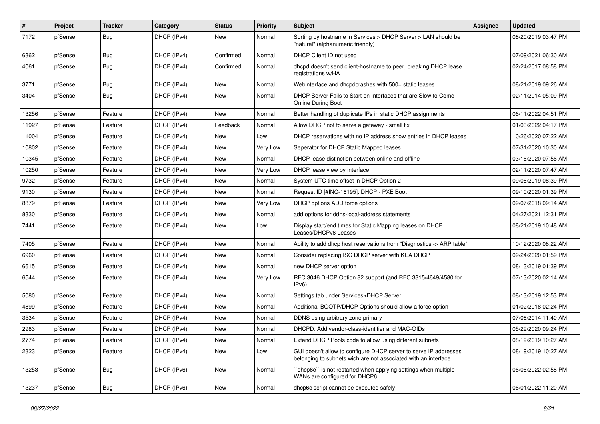| $\vert$ # | Project | <b>Tracker</b> | Category    | <b>Status</b> | <b>Priority</b> | Subject                                                                                                                            | <b>Assignee</b> | <b>Updated</b>      |
|-----------|---------|----------------|-------------|---------------|-----------------|------------------------------------------------------------------------------------------------------------------------------------|-----------------|---------------------|
| 7172      | pfSense | <b>Bug</b>     | DHCP (IPv4) | New           | Normal          | Sorting by hostname in Services > DHCP Server > LAN should be<br>"natural" (alphanumeric friendly)                                 |                 | 08/20/2019 03:47 PM |
| 6362      | pfSense | Bug            | DHCP (IPv4) | Confirmed     | Normal          | DHCP Client ID not used                                                                                                            |                 | 07/09/2021 06:30 AM |
| 4061      | pfSense | Bug            | DHCP (IPv4) | Confirmed     | Normal          | dhcpd doesn't send client-hostname to peer, breaking DHCP lease<br>registrations w/HA                                              |                 | 02/24/2017 08:58 PM |
| 3771      | pfSense | Bug            | DHCP (IPv4) | New           | Normal          | Webinterface and dhcpdcrashes with 500+ static leases                                                                              |                 | 08/21/2019 09:26 AM |
| 3404      | pfSense | Bug            | DHCP (IPv4) | New           | Normal          | DHCP Server Fails to Start on Interfaces that are Slow to Come<br><b>Online During Boot</b>                                        |                 | 02/11/2014 05:09 PM |
| 13256     | pfSense | Feature        | DHCP (IPv4) | <b>New</b>    | Normal          | Better handling of duplicate IPs in static DHCP assignments                                                                        |                 | 06/11/2022 04:51 PM |
| 11927     | pfSense | Feature        | DHCP (IPv4) | Feedback      | Normal          | Allow DHCP not to serve a gateway - small fix                                                                                      |                 | 01/03/2022 04:17 PM |
| 11004     | pfSense | Feature        | DHCP (IPv4) | New           | Low             | DHCP reservations with no IP address show entries in DHCP leases                                                                   |                 | 10/26/2020 07:22 AM |
| 10802     | pfSense | Feature        | DHCP (IPv4) | New           | Very Low        | Seperator for DHCP Static Mapped leases                                                                                            |                 | 07/31/2020 10:30 AM |
| 10345     | pfSense | Feature        | DHCP (IPv4) | New           | Normal          | DHCP lease distinction between online and offline                                                                                  |                 | 03/16/2020 07:56 AM |
| 10250     | pfSense | Feature        | DHCP (IPv4) | New           | Very Low        | DHCP lease view by interface                                                                                                       |                 | 02/11/2020 07:47 AM |
| 9732      | pfSense | Feature        | DHCP (IPv4) | New           | Normal          | System UTC time offset in DHCP Option 2                                                                                            |                 | 09/06/2019 08:39 PM |
| 9130      | pfSense | Feature        | DHCP (IPv4) | New           | Normal          | Request ID [#INC-16195]: DHCP - PXE Boot                                                                                           |                 | 09/10/2020 01:39 PM |
| 8879      | pfSense | Feature        | DHCP (IPv4) | New           | Very Low        | DHCP options ADD force options                                                                                                     |                 | 09/07/2018 09:14 AM |
| 8330      | pfSense | Feature        | DHCP (IPv4) | New           | Normal          | add options for ddns-local-address statements                                                                                      |                 | 04/27/2021 12:31 PM |
| 7441      | pfSense | Feature        | DHCP (IPv4) | New           | Low             | Display start/end times for Static Mapping leases on DHCP<br>Leases/DHCPv6 Leases                                                  |                 | 08/21/2019 10:48 AM |
| 7405      | pfSense | Feature        | DHCP (IPv4) | New           | Normal          | Ability to add dhcp host reservations from "Diagnostics -> ARP table"                                                              |                 | 10/12/2020 08:22 AM |
| 6960      | pfSense | Feature        | DHCP (IPv4) | New           | Normal          | Consider replacing ISC DHCP server with KEA DHCP                                                                                   |                 | 09/24/2020 01:59 PM |
| 6615      | pfSense | Feature        | DHCP (IPv4) | New           | Normal          | new DHCP server option                                                                                                             |                 | 08/13/2019 01:39 PM |
| 6544      | pfSense | Feature        | DHCP (IPv4) | New           | Very Low        | RFC 3046 DHCP Option 82 support (and RFC 3315/4649/4580 for<br>IPv6)                                                               |                 | 07/13/2020 02:14 AM |
| 5080      | pfSense | Feature        | DHCP (IPv4) | <b>New</b>    | Normal          | Settings tab under Services>DHCP Server                                                                                            |                 | 08/13/2019 12:53 PM |
| 4899      | pfSense | Feature        | DHCP (IPv4) | New           | Normal          | Additional BOOTP/DHCP Options should allow a force option                                                                          |                 | 01/02/2018 02:24 PM |
| 3534      | pfSense | Feature        | DHCP (IPv4) | New           | Normal          | DDNS using arbitrary zone primary                                                                                                  |                 | 07/08/2014 11:40 AM |
| 2983      | pfSense | Feature        | DHCP (IPv4) | New           | Normal          | DHCPD: Add vendor-class-identifier and MAC-OIDs                                                                                    |                 | 05/29/2020 09:24 PM |
| 2774      | pfSense | Feature        | DHCP (IPv4) | New           | Normal          | Extend DHCP Pools code to allow using different subnets                                                                            |                 | 08/19/2019 10:27 AM |
| 2323      | pfSense | Feature        | DHCP (IPv4) | New           | Low             | GUI doesn't allow to configure DHCP server to serve IP addresses<br>belonging to subnets wich are not associated with an interface |                 | 08/19/2019 10:27 AM |
| 13253     | pfSense | <b>Bug</b>     | DHCP (IPv6) | New           | Normal          | 'dhcp6c' is not restarted when applying settings when multiple<br>WANs are configured for DHCP6                                    |                 | 06/06/2022 02:58 PM |
| 13237     | pfSense | <b>Bug</b>     | DHCP (IPv6) | New           | Normal          | dhcp6c script cannot be executed safely                                                                                            |                 | 06/01/2022 11:20 AM |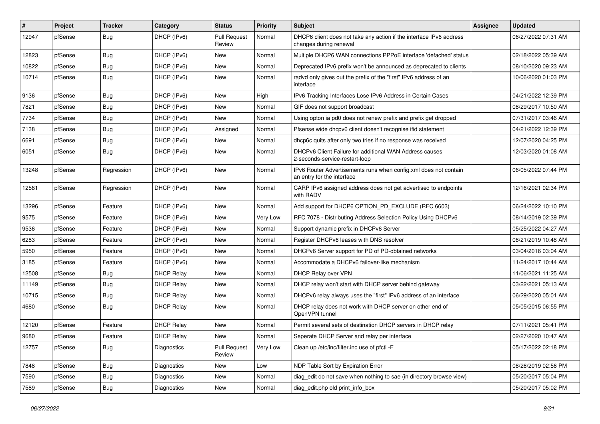| #     | Project | <b>Tracker</b> | Category          | <b>Status</b>                 | <b>Priority</b> | Subject                                                                                        | Assignee | <b>Updated</b>      |
|-------|---------|----------------|-------------------|-------------------------------|-----------------|------------------------------------------------------------------------------------------------|----------|---------------------|
| 12947 | pfSense | <b>Bug</b>     | DHCP (IPv6)       | <b>Pull Request</b><br>Review | Normal          | DHCP6 client does not take any action if the interface IPv6 address<br>changes during renewal  |          | 06/27/2022 07:31 AM |
| 12823 | pfSense | Bug            | DHCP (IPv6)       | New                           | Normal          | Multiple DHCP6 WAN connections PPPoE interface 'defached' status                               |          | 02/18/2022 05:39 AM |
| 10822 | pfSense | <b>Bug</b>     | DHCP (IPv6)       | New                           | Normal          | Deprecated IPv6 prefix won't be announced as deprecated to clients                             |          | 08/10/2020 09:23 AM |
| 10714 | pfSense | <b>Bug</b>     | DHCP (IPv6)       | New                           | Normal          | radvd only gives out the prefix of the "first" IPv6 address of an<br>interface                 |          | 10/06/2020 01:03 PM |
| 9136  | pfSense | Bug            | DHCP (IPv6)       | New                           | High            | IPv6 Tracking Interfaces Lose IPv6 Address in Certain Cases                                    |          | 04/21/2022 12:39 PM |
| 7821  | pfSense | Bug            | DHCP (IPv6)       | <b>New</b>                    | Normal          | GIF does not support broadcast                                                                 |          | 08/29/2017 10:50 AM |
| 7734  | pfSense | <b>Bug</b>     | DHCP (IPv6)       | New                           | Normal          | Using opton ia pd0 does not renew prefix and prefix get dropped                                |          | 07/31/2017 03:46 AM |
| 7138  | pfSense | <b>Bug</b>     | DHCP (IPv6)       | Assigned                      | Normal          | Pfsense wide dhcpv6 client doesn't recognise ifid statement                                    |          | 04/21/2022 12:39 PM |
| 6691  | pfSense | <b>Bug</b>     | DHCP (IPv6)       | New                           | Normal          | dhcp6c quits after only two tries if no response was received                                  |          | 12/07/2020 04:25 PM |
| 6051  | pfSense | Bug            | DHCP (IPv6)       | New                           | Normal          | DHCPv6 Client Failure for additional WAN Address causes<br>2-seconds-service-restart-loop      |          | 12/03/2020 01:08 AM |
| 13248 | pfSense | Regression     | DHCP (IPv6)       | New                           | Normal          | IPv6 Router Advertisements runs when config.xml does not contain<br>an entry for the interface |          | 06/05/2022 07:44 PM |
| 12581 | pfSense | Regression     | DHCP (IPv6)       | New                           | Normal          | CARP IPv6 assigned address does not get advertised to endpoints<br>with RADV                   |          | 12/16/2021 02:34 PM |
| 13296 | pfSense | Feature        | DHCP (IPv6)       | New                           | Normal          | Add support for DHCP6 OPTION_PD_EXCLUDE (RFC 6603)                                             |          | 06/24/2022 10:10 PM |
| 9575  | pfSense | Feature        | DHCP (IPv6)       | New                           | Very Low        | RFC 7078 - Distributing Address Selection Policy Using DHCPv6                                  |          | 08/14/2019 02:39 PM |
| 9536  | pfSense | Feature        | DHCP (IPv6)       | New                           | Normal          | Support dynamic prefix in DHCPv6 Server                                                        |          | 05/25/2022 04:27 AM |
| 6283  | pfSense | Feature        | DHCP (IPv6)       | New                           | Normal          | Register DHCPv6 leases with DNS resolver                                                       |          | 08/21/2019 10:48 AM |
| 5950  | pfSense | Feature        | DHCP (IPv6)       | New                           | Normal          | DHCPv6 Server support for PD of PD-obtained networks                                           |          | 03/04/2016 03:04 AM |
| 3185  | pfSense | Feature        | DHCP (IPv6)       | New                           | Normal          | Accommodate a DHCPv6 failover-like mechanism                                                   |          | 11/24/2017 10:44 AM |
| 12508 | pfSense | Bug            | <b>DHCP Relay</b> | New                           | Normal          | DHCP Relay over VPN                                                                            |          | 11/06/2021 11:25 AM |
| 11149 | pfSense | <b>Bug</b>     | <b>DHCP Relay</b> | New                           | Normal          | DHCP relay won't start with DHCP server behind gateway                                         |          | 03/22/2021 05:13 AM |
| 10715 | pfSense | <b>Bug</b>     | <b>DHCP Relay</b> | New                           | Normal          | DHCPv6 relay always uses the "first" IPv6 address of an interface                              |          | 06/29/2020 05:01 AM |
| 4680  | pfSense | Bug            | <b>DHCP Relay</b> | New                           | Normal          | DHCP relay does not work with DHCP server on other end of<br>OpenVPN tunnel                    |          | 05/05/2015 06:55 PM |
| 12120 | pfSense | Feature        | <b>DHCP Relay</b> | New                           | Normal          | Permit several sets of destination DHCP servers in DHCP relay                                  |          | 07/11/2021 05:41 PM |
| 9680  | pfSense | Feature        | <b>DHCP Relay</b> | New                           | Normal          | Seperate DHCP Server and relay per interface                                                   |          | 02/27/2020 10:47 AM |
| 12757 | pfSense | Bug            | Diagnostics       | <b>Pull Request</b><br>Review | Very Low        | Clean up /etc/inc/filter.inc use of pfctl -F                                                   |          | 05/17/2022 02:18 PM |
| 7848  | pfSense | Bug            | Diagnostics       | New                           | Low             | NDP Table Sort by Expiration Error                                                             |          | 08/26/2019 02:56 PM |
| 7590  | pfSense | <b>Bug</b>     | Diagnostics       | New                           | Normal          | diag_edit do not save when nothing to sae (in directory browse view)                           |          | 05/20/2017 05:04 PM |
| 7589  | pfSense | Bug            | Diagnostics       | New                           | Normal          | diag_edit.php old print_info_box                                                               |          | 05/20/2017 05:02 PM |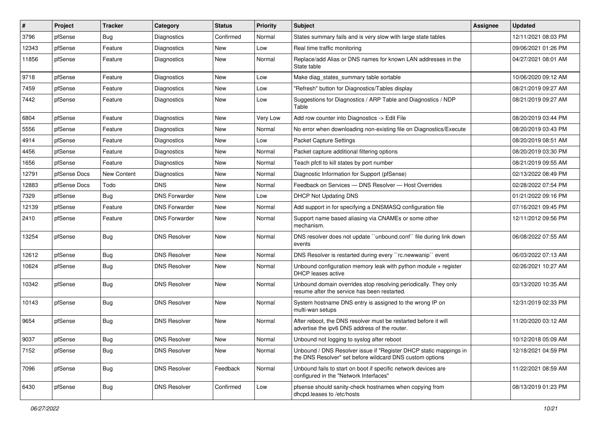| #     | Project      | <b>Tracker</b> | Category             | <b>Status</b> | <b>Priority</b> | Subject                                                                                                                       | <b>Assignee</b> | <b>Updated</b>      |
|-------|--------------|----------------|----------------------|---------------|-----------------|-------------------------------------------------------------------------------------------------------------------------------|-----------------|---------------------|
| 3796  | pfSense      | Bug            | <b>Diagnostics</b>   | Confirmed     | Normal          | States summary fails and is very slow with large state tables                                                                 |                 | 12/11/2021 08:03 PM |
| 12343 | pfSense      | Feature        | Diagnostics          | New           | Low             | Real time traffic monitoring                                                                                                  |                 | 09/06/2021 01:26 PM |
| 11856 | pfSense      | Feature        | <b>Diagnostics</b>   | New           | Normal          | Replace/add Alias or DNS names for known LAN addresses in the<br>State table                                                  |                 | 04/27/2021 08:01 AM |
| 9718  | pfSense      | Feature        | Diagnostics          | New           | Low             | Make diag_states_summary table sortable                                                                                       |                 | 10/06/2020 09:12 AM |
| 7459  | pfSense      | Feature        | Diagnostics          | New           | Low             | "Refresh" button for Diagnostics/Tables display                                                                               |                 | 08/21/2019 09:27 AM |
| 7442  | pfSense      | Feature        | Diagnostics          | New           | Low             | Suggestions for Diagnostics / ARP Table and Diagnostics / NDP<br>Table                                                        |                 | 08/21/2019 09:27 AM |
| 6804  | pfSense      | Feature        | <b>Diagnostics</b>   | New           | Very Low        | Add row counter into Diagnostics -> Edit File                                                                                 |                 | 08/20/2019 03:44 PM |
| 5556  | pfSense      | Feature        | Diagnostics          | New           | Normal          | No error when downloading non-existing file on Diagnostics/Execute                                                            |                 | 08/20/2019 03:43 PM |
| 4914  | pfSense      | Feature        | Diagnostics          | New           | Low             | <b>Packet Capture Settings</b>                                                                                                |                 | 08/20/2019 08:51 AM |
| 4456  | pfSense      | Feature        | Diagnostics          | New           | Normal          | Packet capture additional filtering options                                                                                   |                 | 08/20/2019 03:30 PM |
| 1656  | pfSense      | Feature        | <b>Diagnostics</b>   | New           | Normal          | Teach pfctl to kill states by port number                                                                                     |                 | 08/21/2019 09:55 AM |
| 12791 | pfSense Docs | New Content    | Diagnostics          | New           | Normal          | Diagnostic Information for Support (pfSense)                                                                                  |                 | 02/13/2022 08:49 PM |
| 12883 | pfSense Docs | Todo           | <b>DNS</b>           | New           | Normal          | Feedback on Services - DNS Resolver - Host Overrides                                                                          |                 | 02/28/2022 07:54 PM |
| 7329  | pfSense      | Bug            | <b>DNS Forwarder</b> | New           | Low             | <b>DHCP Not Updating DNS</b>                                                                                                  |                 | 01/21/2022 09:16 PM |
| 12139 | pfSense      | Feature        | <b>DNS Forwarder</b> | New           | Normal          | Add support in for specifying a DNSMASQ configuration file                                                                    |                 | 07/16/2021 09:45 PM |
| 2410  | pfSense      | Feature        | <b>DNS Forwarder</b> | New           | Normal          | Support name based aliasing via CNAMEs or some other<br>mechanism.                                                            |                 | 12/11/2012 09:56 PM |
| 13254 | pfSense      | Bug            | <b>DNS Resolver</b>  | <b>New</b>    | Normal          | DNS resolver does not update "unbound.conf" file during link down<br>events                                                   |                 | 06/08/2022 07:55 AM |
| 12612 | pfSense      | <b>Bug</b>     | <b>DNS Resolver</b>  | New           | Normal          | DNS Resolver is restarted during every "rc.newwanip" event                                                                    |                 | 06/03/2022 07:13 AM |
| 10624 | pfSense      | Bug            | <b>DNS Resolver</b>  | New           | Normal          | Unbound configuration memory leak with python module $+$ register<br>DHCP leases active                                       |                 | 02/26/2021 10:27 AM |
| 10342 | pfSense      | Bug            | <b>DNS Resolver</b>  | New           | Normal          | Unbound domain overrides stop resolving periodically. They only<br>resume after the service has been restarted.               |                 | 03/13/2020 10:35 AM |
| 10143 | pfSense      | Bug            | <b>DNS Resolver</b>  | New           | Normal          | System hostname DNS entry is assigned to the wrong IP on<br>multi-wan setups                                                  |                 | 12/31/2019 02:33 PM |
| 9654  | pfSense      | <b>Bug</b>     | <b>DNS Resolver</b>  | New           | Normal          | After reboot, the DNS resolver must be restarted before it will<br>advertise the ipv6 DNS address of the router.              |                 | 11/20/2020 03:12 AM |
| 9037  | pfSense      | <b>Bug</b>     | <b>DNS Resolver</b>  | New           | Normal          | Unbound not logging to syslog after reboot                                                                                    |                 | 10/12/2018 05:09 AM |
| 7152  | pfSense      | <b>Bug</b>     | <b>DNS Resolver</b>  | New           | Normal          | Unbound / DNS Resolver issue if "Register DHCP static mappings in<br>the DNS Resolver" set before wildcard DNS custom options |                 | 12/18/2021 04:59 PM |
| 7096  | pfSense      | Bug            | <b>DNS Resolver</b>  | Feedback      | Normal          | Unbound fails to start on boot if specific network devices are<br>configured in the "Network Interfaces"                      |                 | 11/22/2021 08:59 AM |
| 6430  | pfSense      | <b>Bug</b>     | <b>DNS Resolver</b>  | Confirmed     | Low             | pfsense should sanity-check hostnames when copying from<br>dhcpd.leases to /etc/hosts                                         |                 | 08/13/2019 01:23 PM |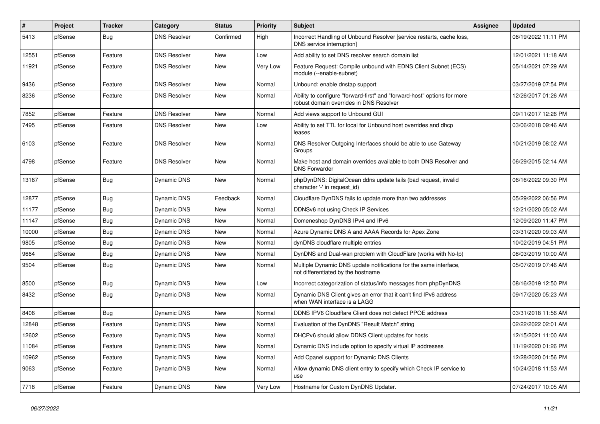| $\vert$ # | Project | <b>Tracker</b> | Category            | <b>Status</b> | <b>Priority</b> | <b>Subject</b>                                                                                                      | Assignee | <b>Updated</b>      |
|-----------|---------|----------------|---------------------|---------------|-----------------|---------------------------------------------------------------------------------------------------------------------|----------|---------------------|
| 5413      | pfSense | Bug            | <b>DNS Resolver</b> | Confirmed     | High            | Incorrect Handling of Unbound Resolver [service restarts, cache loss,<br>DNS service interruption]                  |          | 06/19/2022 11:11 PM |
| 12551     | pfSense | Feature        | <b>DNS Resolver</b> | <b>New</b>    | Low             | Add ability to set DNS resolver search domain list                                                                  |          | 12/01/2021 11:18 AM |
| 11921     | pfSense | Feature        | <b>DNS Resolver</b> | <b>New</b>    | Very Low        | Feature Request: Compile unbound with EDNS Client Subnet (ECS)<br>module (--enable-subnet)                          |          | 05/14/2021 07:29 AM |
| 9436      | pfSense | Feature        | <b>DNS Resolver</b> | New           | Normal          | Unbound: enable dnstap support                                                                                      |          | 03/27/2019 07:54 PM |
| 8236      | pfSense | Feature        | <b>DNS Resolver</b> | <b>New</b>    | Normal          | Ability to configure "forward-first" and "forward-host" options for more<br>robust domain overrides in DNS Resolver |          | 12/26/2017 01:26 AM |
| 7852      | pfSense | Feature        | <b>DNS Resolver</b> | <b>New</b>    | Normal          | Add views support to Unbound GUI                                                                                    |          | 09/11/2017 12:26 PM |
| 7495      | pfSense | Feature        | <b>DNS Resolver</b> | <b>New</b>    | Low             | Ability to set TTL for local for Unbound host overrides and dhcp<br>leases                                          |          | 03/06/2018 09:46 AM |
| 6103      | pfSense | Feature        | <b>DNS Resolver</b> | <b>New</b>    | Normal          | DNS Resolver Outgoing Interfaces should be able to use Gateway<br>Groups                                            |          | 10/21/2019 08:02 AM |
| 4798      | pfSense | Feature        | <b>DNS Resolver</b> | New           | Normal          | Make host and domain overrides available to both DNS Resolver and<br><b>DNS Forwarder</b>                           |          | 06/29/2015 02:14 AM |
| 13167     | pfSense | <b>Bug</b>     | Dynamic DNS         | <b>New</b>    | Normal          | phpDynDNS: DigitalOcean ddns update fails (bad request, invalid<br>character '-' in request id)                     |          | 06/16/2022 09:30 PM |
| 12877     | pfSense | Bug            | Dynamic DNS         | Feedback      | Normal          | Cloudflare DynDNS fails to update more than two addresses                                                           |          | 05/29/2022 06:56 PM |
| 11177     | pfSense | Bug            | Dynamic DNS         | New           | Normal          | DDNSv6 not using Check IP Services                                                                                  |          | 12/21/2020 05:02 AM |
| 11147     | pfSense | <b>Bug</b>     | Dynamic DNS         | New           | Normal          | Domeneshop DynDNS IPv4 and IPv6                                                                                     |          | 12/09/2020 11:47 PM |
| 10000     | pfSense | Bug            | Dynamic DNS         | New           | Normal          | Azure Dynamic DNS A and AAAA Records for Apex Zone                                                                  |          | 03/31/2020 09:03 AM |
| 9805      | pfSense | Bug            | Dynamic DNS         | New           | Normal          | dynDNS cloudflare multiple entries                                                                                  |          | 10/02/2019 04:51 PM |
| 9664      | pfSense | Bug            | Dynamic DNS         | New           | Normal          | DynDNS and Dual-wan problem with CloudFlare (works with No-Ip)                                                      |          | 08/03/2019 10:00 AM |
| 9504      | pfSense | Bug            | Dynamic DNS         | <b>New</b>    | Normal          | Multiple Dynamic DNS update notifications for the same interface,<br>not differentiated by the hostname             |          | 05/07/2019 07:46 AM |
| 8500      | pfSense | <b>Bug</b>     | Dynamic DNS         | <b>New</b>    | Low             | Incorrect categorization of status/info messages from phpDynDNS                                                     |          | 08/16/2019 12:50 PM |
| 8432      | pfSense | Bug            | Dynamic DNS         | <b>New</b>    | Normal          | Dynamic DNS Client gives an error that it can't find IPv6 address<br>when WAN interface is a LAGG                   |          | 09/17/2020 05:23 AM |
| 8406      | pfSense | <b>Bug</b>     | Dynamic DNS         | New           | Normal          | DDNS IPV6 Cloudflare Client does not detect PPOE address                                                            |          | 03/31/2018 11:56 AM |
| 12848     | pfSense | Feature        | Dynamic DNS         | New           | Normal          | Evaluation of the DynDNS "Result Match" string                                                                      |          | 02/22/2022 02:01 AM |
| 12602     | pfSense | Feature        | Dynamic DNS         | New           | Normal          | DHCPv6 should allow DDNS Client updates for hosts                                                                   |          | 12/15/2021 11:00 AM |
| 11084     | pfSense | Feature        | Dynamic DNS         | New           | Normal          | Dynamic DNS include option to specify virtual IP addresses                                                          |          | 11/19/2020 01:26 PM |
| 10962     | pfSense | Feature        | Dynamic DNS         | New           | Normal          | Add Cpanel support for Dynamic DNS Clients                                                                          |          | 12/28/2020 01:56 PM |
| 9063      | pfSense | Feature        | Dynamic DNS         | New           | Normal          | Allow dynamic DNS client entry to specify which Check IP service to<br>use                                          |          | 10/24/2018 11:53 AM |
| 7718      | pfSense | Feature        | Dynamic DNS         | New           | Very Low        | Hostname for Custom DynDNS Updater.                                                                                 |          | 07/24/2017 10:05 AM |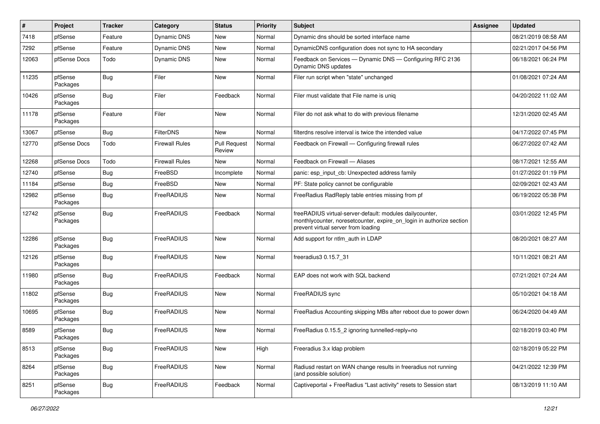| #     | Project             | <b>Tracker</b> | Category              | <b>Status</b>                 | <b>Priority</b> | Subject                                                                                                                                                                 | Assignee | <b>Updated</b>      |
|-------|---------------------|----------------|-----------------------|-------------------------------|-----------------|-------------------------------------------------------------------------------------------------------------------------------------------------------------------------|----------|---------------------|
| 7418  | pfSense             | Feature        | Dynamic DNS           | New                           | Normal          | Dynamic dns should be sorted interface name                                                                                                                             |          | 08/21/2019 08:58 AM |
| 7292  | pfSense             | Feature        | Dynamic DNS           | New                           | Normal          | DynamicDNS configuration does not sync to HA secondary                                                                                                                  |          | 02/21/2017 04:56 PM |
| 12063 | pfSense Docs        | Todo           | Dynamic DNS           | New                           | Normal          | Feedback on Services - Dynamic DNS - Configuring RFC 2136<br>Dynamic DNS updates                                                                                        |          | 06/18/2021 06:24 PM |
| 11235 | pfSense<br>Packages | Bug            | Filer                 | New                           | Normal          | Filer run script when "state" unchanged                                                                                                                                 |          | 01/08/2021 07:24 AM |
| 10426 | pfSense<br>Packages | <b>Bug</b>     | Filer                 | Feedback                      | Normal          | Filer must validate that File name is unig                                                                                                                              |          | 04/20/2022 11:02 AM |
| 11178 | pfSense<br>Packages | Feature        | Filer                 | <b>New</b>                    | Normal          | Filer do not ask what to do with previous filename                                                                                                                      |          | 12/31/2020 02:45 AM |
| 13067 | pfSense             | <b>Bug</b>     | <b>FilterDNS</b>      | <b>New</b>                    | Normal          | filterdns resolve interval is twice the intended value                                                                                                                  |          | 04/17/2022 07:45 PM |
| 12770 | pfSense Docs        | Todo           | <b>Firewall Rules</b> | <b>Pull Request</b><br>Review | Normal          | Feedback on Firewall - Configuring firewall rules                                                                                                                       |          | 06/27/2022 07:42 AM |
| 12268 | pfSense Docs        | Todo           | <b>Firewall Rules</b> | New                           | Normal          | Feedback on Firewall - Aliases                                                                                                                                          |          | 08/17/2021 12:55 AM |
| 12740 | pfSense             | Bug            | FreeBSD               | Incomplete                    | Normal          | panic: esp_input_cb: Unexpected address family                                                                                                                          |          | 01/27/2022 01:19 PM |
| 11184 | pfSense             | <b>Bug</b>     | FreeBSD               | New                           | Normal          | PF: State policy cannot be configurable                                                                                                                                 |          | 02/09/2021 02:43 AM |
| 12982 | pfSense<br>Packages | <b>Bug</b>     | FreeRADIUS            | New                           | Normal          | FreeRadius RadReply table entries missing from pf                                                                                                                       |          | 06/19/2022 05:38 PM |
| 12742 | pfSense<br>Packages | <b>Bug</b>     | FreeRADIUS            | Feedback                      | Normal          | freeRADIUS virtual-server-default: modules dailycounter,<br>monthlycounter, noresetcounter, expire on login in authorize section<br>prevent virtual server from loading |          | 03/01/2022 12:45 PM |
| 12286 | pfSense<br>Packages | <b>Bug</b>     | FreeRADIUS            | New                           | Normal          | Add support for ntlm_auth in LDAP                                                                                                                                       |          | 08/20/2021 08:27 AM |
| 12126 | pfSense<br>Packages | <b>Bug</b>     | FreeRADIUS            | <b>New</b>                    | Normal          | freeradius3 0.15.7_31                                                                                                                                                   |          | 10/11/2021 08:21 AM |
| 11980 | pfSense<br>Packages | <b>Bug</b>     | FreeRADIUS            | Feedback                      | Normal          | EAP does not work with SQL backend                                                                                                                                      |          | 07/21/2021 07:24 AM |
| 11802 | pfSense<br>Packages | <b>Bug</b>     | FreeRADIUS            | New                           | Normal          | FreeRADIUS sync                                                                                                                                                         |          | 05/10/2021 04:18 AM |
| 10695 | pfSense<br>Packages | <b>Bug</b>     | FreeRADIUS            | New                           | Normal          | FreeRadius Accounting skipping MBs after reboot due to power down                                                                                                       |          | 06/24/2020 04:49 AM |
| 8589  | pfSense<br>Packages | <b>Bug</b>     | FreeRADIUS            | New                           | Normal          | FreeRadius 0.15.5 2 ignoring tunnelled-reply=no                                                                                                                         |          | 02/18/2019 03:40 PM |
| 8513  | pfSense<br>Packages | Bug            | FreeRADIUS            | New                           | High            | Freeradius 3.x Idap problem                                                                                                                                             |          | 02/18/2019 05:22 PM |
| 8264  | pfSense<br>Packages | <b>Bug</b>     | FreeRADIUS            | New                           | Normal          | Radiusd restart on WAN change results in freeradius not running<br>(and possible solution)                                                                              |          | 04/21/2022 12:39 PM |
| 8251  | pfSense<br>Packages | Bug            | FreeRADIUS            | Feedback                      | Normal          | Captiveportal + FreeRadius "Last activity" resets to Session start                                                                                                      |          | 08/13/2019 11:10 AM |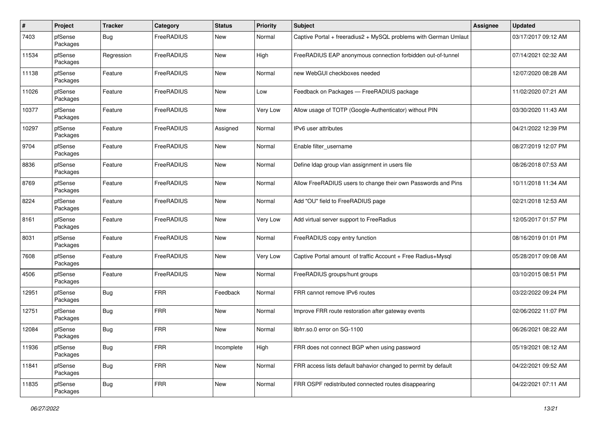| #     | Project             | <b>Tracker</b> | Category   | <b>Status</b> | <b>Priority</b> | Subject                                                          | <b>Assignee</b> | <b>Updated</b>      |
|-------|---------------------|----------------|------------|---------------|-----------------|------------------------------------------------------------------|-----------------|---------------------|
| 7403  | pfSense<br>Packages | Bug            | FreeRADIUS | New           | Normal          | Captive Portal + freeradius2 + MySQL problems with German Umlaut |                 | 03/17/2017 09:12 AM |
| 11534 | pfSense<br>Packages | Regression     | FreeRADIUS | New           | High            | FreeRADIUS EAP anonymous connection forbidden out-of-tunnel      |                 | 07/14/2021 02:32 AM |
| 11138 | pfSense<br>Packages | Feature        | FreeRADIUS | New           | Normal          | new WebGUI checkboxes needed                                     |                 | 12/07/2020 08:28 AM |
| 11026 | pfSense<br>Packages | Feature        | FreeRADIUS | New           | Low             | Feedback on Packages - FreeRADIUS package                        |                 | 11/02/2020 07:21 AM |
| 10377 | pfSense<br>Packages | Feature        | FreeRADIUS | New           | Very Low        | Allow usage of TOTP (Google-Authenticator) without PIN           |                 | 03/30/2020 11:43 AM |
| 10297 | pfSense<br>Packages | Feature        | FreeRADIUS | Assigned      | Normal          | IPv6 user attributes                                             |                 | 04/21/2022 12:39 PM |
| 9704  | pfSense<br>Packages | Feature        | FreeRADIUS | New           | Normal          | Enable filter_username                                           |                 | 08/27/2019 12:07 PM |
| 8836  | pfSense<br>Packages | Feature        | FreeRADIUS | New           | Normal          | Define Idap group vlan assignment in users file                  |                 | 08/26/2018 07:53 AM |
| 8769  | pfSense<br>Packages | Feature        | FreeRADIUS | New           | Normal          | Allow FreeRADIUS users to change their own Passwords and Pins    |                 | 10/11/2018 11:34 AM |
| 8224  | pfSense<br>Packages | Feature        | FreeRADIUS | New           | Normal          | Add "OU" field to FreeRADIUS page                                |                 | 02/21/2018 12:53 AM |
| 8161  | pfSense<br>Packages | Feature        | FreeRADIUS | New           | Very Low        | Add virtual server support to FreeRadius                         |                 | 12/05/2017 01:57 PM |
| 8031  | pfSense<br>Packages | Feature        | FreeRADIUS | New           | Normal          | FreeRADIUS copy entry function                                   |                 | 08/16/2019 01:01 PM |
| 7608  | pfSense<br>Packages | Feature        | FreeRADIUS | New           | Very Low        | Captive Portal amount of traffic Account + Free Radius+Mysql     |                 | 05/28/2017 09:08 AM |
| 4506  | pfSense<br>Packages | Feature        | FreeRADIUS | New           | Normal          | FreeRADIUS groups/hunt groups                                    |                 | 03/10/2015 08:51 PM |
| 12951 | pfSense<br>Packages | <b>Bug</b>     | <b>FRR</b> | Feedback      | Normal          | FRR cannot remove IPv6 routes                                    |                 | 03/22/2022 09:24 PM |
| 12751 | pfSense<br>Packages | <b>Bug</b>     | <b>FRR</b> | New           | Normal          | Improve FRR route restoration after gateway events               |                 | 02/06/2022 11:07 PM |
| 12084 | pfSense<br>Packages | <b>Bug</b>     | <b>FRR</b> | <b>New</b>    | Normal          | libfrr.so.0 error on SG-1100                                     |                 | 06/26/2021 08:22 AM |
| 11936 | pfSense<br>Packages | <b>Bug</b>     | <b>FRR</b> | Incomplete    | High            | FRR does not connect BGP when using password                     |                 | 05/19/2021 08:12 AM |
| 11841 | pfSense<br>Packages | <b>Bug</b>     | <b>FRR</b> | New           | Normal          | FRR access lists default bahavior changed to permit by default   |                 | 04/22/2021 09:52 AM |
| 11835 | pfSense<br>Packages | <b>Bug</b>     | <b>FRR</b> | New           | Normal          | FRR OSPF redistributed connected routes disappearing             |                 | 04/22/2021 07:11 AM |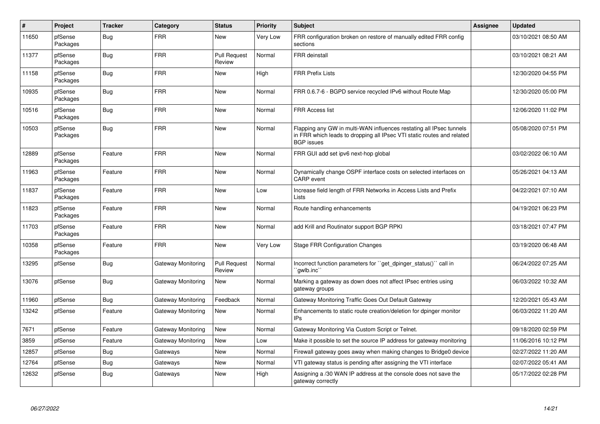| $\vert$ # | <b>Project</b>      | <b>Tracker</b> | Category           | <b>Status</b>                 | <b>Priority</b> | <b>Subject</b>                                                                                                                                                     | <b>Assignee</b> | <b>Updated</b>      |
|-----------|---------------------|----------------|--------------------|-------------------------------|-----------------|--------------------------------------------------------------------------------------------------------------------------------------------------------------------|-----------------|---------------------|
| 11650     | pfSense<br>Packages | Bug            | <b>FRR</b>         | <b>New</b>                    | <b>Very Low</b> | FRR configuration broken on restore of manually edited FRR config<br>sections                                                                                      |                 | 03/10/2021 08:50 AM |
| 11377     | pfSense<br>Packages | Bug            | <b>FRR</b>         | <b>Pull Request</b><br>Review | Normal          | <b>FRR</b> deinstall                                                                                                                                               |                 | 03/10/2021 08:21 AM |
| 11158     | pfSense<br>Packages | <b>Bug</b>     | <b>FRR</b>         | <b>New</b>                    | High            | <b>FRR Prefix Lists</b>                                                                                                                                            |                 | 12/30/2020 04:55 PM |
| 10935     | pfSense<br>Packages | <b>Bug</b>     | <b>FRR</b>         | <b>New</b>                    | Normal          | FRR 0.6.7-6 - BGPD service recycled IPv6 without Route Map                                                                                                         |                 | 12/30/2020 05:00 PM |
| 10516     | pfSense<br>Packages | <b>Bug</b>     | <b>FRR</b>         | <b>New</b>                    | Normal          | <b>FRR Access list</b>                                                                                                                                             |                 | 12/06/2020 11:02 PM |
| 10503     | pfSense<br>Packages | <b>Bug</b>     | <b>FRR</b>         | New                           | Normal          | Flapping any GW in multi-WAN influences restating all IPsec tunnels<br>in FRR which leads to dropping all IPsec VTI static routes and related<br><b>BGP</b> issues |                 | 05/08/2020 07:51 PM |
| 12889     | pfSense<br>Packages | Feature        | <b>FRR</b>         | <b>New</b>                    | Normal          | FRR GUI add set ipv6 next-hop global                                                                                                                               |                 | 03/02/2022 06:10 AM |
| 11963     | pfSense<br>Packages | Feature        | <b>FRR</b>         | <b>New</b>                    | Normal          | Dynamically change OSPF interface costs on selected interfaces on<br><b>CARP</b> event                                                                             |                 | 05/26/2021 04:13 AM |
| 11837     | pfSense<br>Packages | Feature        | <b>FRR</b>         | New                           | Low             | Increase field length of FRR Networks in Access Lists and Prefix<br>Lists                                                                                          |                 | 04/22/2021 07:10 AM |
| 11823     | pfSense<br>Packages | Feature        | <b>FRR</b>         | <b>New</b>                    | Normal          | Route handling enhancements                                                                                                                                        |                 | 04/19/2021 06:23 PM |
| 11703     | pfSense<br>Packages | Feature        | <b>FRR</b>         | New                           | Normal          | add Krill and Routinator support BGP RPKI                                                                                                                          |                 | 03/18/2021 07:47 PM |
| 10358     | pfSense<br>Packages | Feature        | <b>FRR</b>         | New                           | Very Low        | Stage FRR Configuration Changes                                                                                                                                    |                 | 03/19/2020 06:48 AM |
| 13295     | pfSense             | <b>Bug</b>     | Gateway Monitoring | <b>Pull Request</b><br>Review | Normal          | Incorrect function parameters for "get_dpinger_status()" call in<br>`qwlb.inc``                                                                                    |                 | 06/24/2022 07:25 AM |
| 13076     | pfSense             | <b>Bug</b>     | Gateway Monitoring | New                           | Normal          | Marking a gateway as down does not affect IPsec entries using<br>gateway groups                                                                                    |                 | 06/03/2022 10:32 AM |
| 11960     | pfSense             | Bug            | Gateway Monitoring | Feedback                      | Normal          | Gateway Monitoring Traffic Goes Out Default Gateway                                                                                                                |                 | 12/20/2021 05:43 AM |
| 13242     | pfSense             | Feature        | Gateway Monitoring | New                           | Normal          | Enhancements to static route creation/deletion for dpinger monitor<br>IPs                                                                                          |                 | 06/03/2022 11:20 AM |
| 7671      | pfSense             | Feature        | Gateway Monitoring | New                           | Normal          | Gateway Monitoring Via Custom Script or Telnet.                                                                                                                    |                 | 09/18/2020 02:59 PM |
| 3859      | pfSense             | Feature        | Gateway Monitoring | New                           | Low             | Make it possible to set the source IP address for gateway monitoring                                                                                               |                 | 11/06/2016 10:12 PM |
| 12857     | pfSense             | <b>Bug</b>     | Gateways           | New                           | Normal          | Firewall gateway goes away when making changes to Bridge0 device                                                                                                   |                 | 02/27/2022 11:20 AM |
| 12764     | pfSense             | <b>Bug</b>     | Gateways           | New                           | Normal          | VTI gateway status is pending after assigning the VTI interface                                                                                                    |                 | 02/07/2022 05:41 AM |
| 12632     | pfSense             | <b>Bug</b>     | Gateways           | <b>New</b>                    | High            | Assigning a /30 WAN IP address at the console does not save the<br>gateway correctly                                                                               |                 | 05/17/2022 02:28 PM |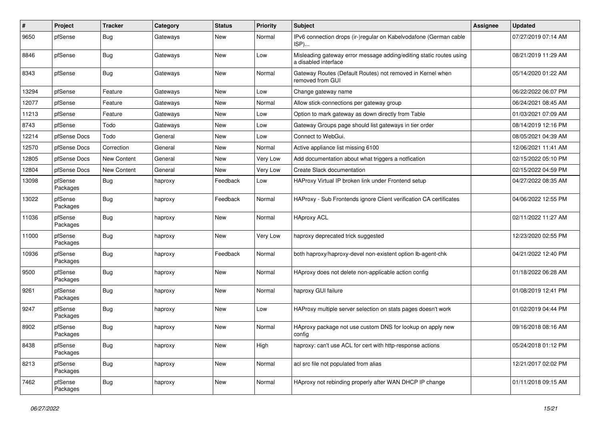| $\sharp$ | Project             | <b>Tracker</b> | Category | <b>Status</b> | <b>Priority</b> | Subject                                                                                     | Assignee | <b>Updated</b>      |
|----------|---------------------|----------------|----------|---------------|-----------------|---------------------------------------------------------------------------------------------|----------|---------------------|
| 9650     | pfSense             | Bug            | Gateways | New           | Normal          | IPv6 connection drops (ir-)regular on Kabelvodafone (German cable<br>ISP)                   |          | 07/27/2019 07:14 AM |
| 8846     | pfSense             | <b>Bug</b>     | Gateways | New           | Low             | Misleading gateway error message adding/editing static routes using<br>a disabled interface |          | 08/21/2019 11:29 AM |
| 8343     | pfSense             | <b>Bug</b>     | Gateways | New           | Normal          | Gateway Routes (Default Routes) not removed in Kernel when<br>removed from GUI              |          | 05/14/2020 01:22 AM |
| 13294    | pfSense             | Feature        | Gateways | New           | Low             | Change gateway name                                                                         |          | 06/22/2022 06:07 PM |
| 12077    | pfSense             | Feature        | Gateways | New           | Normal          | Allow stick-connections per gateway group                                                   |          | 06/24/2021 08:45 AM |
| 11213    | pfSense             | Feature        | Gateways | New           | Low             | Option to mark gateway as down directly from Table                                          |          | 01/03/2021 07:09 AM |
| 8743     | pfSense             | Todo           | Gateways | New           | Low             | Gateway Groups page should list gateways in tier order                                      |          | 08/14/2019 12:16 PM |
| 12214    | pfSense Docs        | Todo           | General  | New           | Low             | Connect to WebGui.                                                                          |          | 08/05/2021 04:39 AM |
| 12570    | pfSense Docs        | Correction     | General  | New           | Normal          | Active appliance list missing 6100                                                          |          | 12/06/2021 11:41 AM |
| 12805    | pfSense Docs        | New Content    | General  | New           | Very Low        | Add documentation about what triggers a notfication                                         |          | 02/15/2022 05:10 PM |
| 12804    | pfSense Docs        | New Content    | General  | New           | Very Low        | Create Slack documentation                                                                  |          | 02/15/2022 04:59 PM |
| 13098    | pfSense<br>Packages | <b>Bug</b>     | haproxy  | Feedback      | Low             | HAProxy Virtual IP broken link under Frontend setup                                         |          | 04/27/2022 08:35 AM |
| 13022    | pfSense<br>Packages | <b>Bug</b>     | haproxy  | Feedback      | Normal          | HAProxy - Sub Frontends ignore Client verification CA certificates                          |          | 04/06/2022 12:55 PM |
| 11036    | pfSense<br>Packages | <b>Bug</b>     | haproxy  | New           | Normal          | <b>HAproxy ACL</b>                                                                          |          | 02/11/2022 11:27 AM |
| 11000    | pfSense<br>Packages | <b>Bug</b>     | haproxy  | <b>New</b>    | Very Low        | haproxy deprecated trick suggested                                                          |          | 12/23/2020 02:55 PM |
| 10936    | pfSense<br>Packages | <b>Bug</b>     | haproxy  | Feedback      | Normal          | both haproxy/haproxy-devel non-existent option lb-agent-chk                                 |          | 04/21/2022 12:40 PM |
| 9500     | pfSense<br>Packages | <b>Bug</b>     | haproxy  | New           | Normal          | HAproxy does not delete non-applicable action config                                        |          | 01/18/2022 06:28 AM |
| 9261     | pfSense<br>Packages | <b>Bug</b>     | haproxy  | New           | Normal          | haproxy GUI failure                                                                         |          | 01/08/2019 12:41 PM |
| 9247     | pfSense<br>Packages | Bug            | haproxy  | New           | Low             | HAProxy multiple server selection on stats pages doesn't work                               |          | 01/02/2019 04:44 PM |
| 8902     | pfSense<br>Packages | <b>Bug</b>     | haproxy  | New           | Normal          | HAproxy package not use custom DNS for lookup on apply new<br>config                        |          | 09/16/2018 08:16 AM |
| 8438     | pfSense<br>Packages | <b>Bug</b>     | haproxy  | New           | High            | haproxy: can't use ACL for cert with http-response actions                                  |          | 05/24/2018 01:12 PM |
| 8213     | pfSense<br>Packages | Bug            | haproxy  | New           | Normal          | acl src file not populated from alias                                                       |          | 12/21/2017 02:02 PM |
| 7462     | pfSense<br>Packages | Bug            | haproxy  | New           | Normal          | HAproxy not rebinding properly after WAN DHCP IP change                                     |          | 01/11/2018 09:15 AM |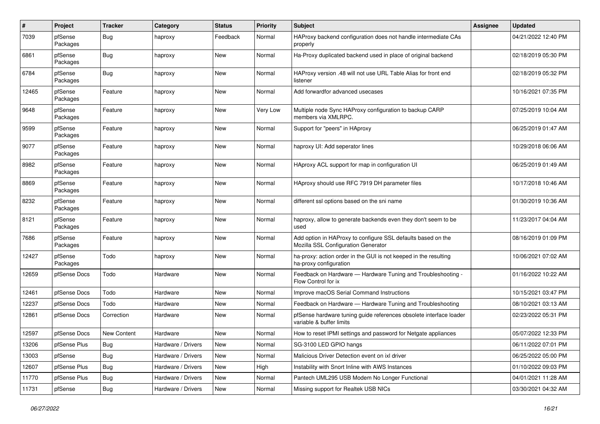| $\pmb{\#}$ | Project             | <b>Tracker</b>     | Category           | <b>Status</b> | <b>Priority</b> | <b>Subject</b>                                                                                      | <b>Assignee</b> | <b>Updated</b>      |
|------------|---------------------|--------------------|--------------------|---------------|-----------------|-----------------------------------------------------------------------------------------------------|-----------------|---------------------|
| 7039       | pfSense<br>Packages | <b>Bug</b>         | haproxy            | Feedback      | Normal          | HAProxy backend configuration does not handle intermediate CAs<br>properly                          |                 | 04/21/2022 12:40 PM |
| 6861       | pfSense<br>Packages | Bug                | haproxy            | New           | Normal          | Ha-Proxy duplicated backend used in place of original backend                                       |                 | 02/18/2019 05:30 PM |
| 6784       | pfSense<br>Packages | Bug                | haproxy            | <b>New</b>    | Normal          | HAProxy version .48 will not use URL Table Alias for front end<br>listener                          |                 | 02/18/2019 05:32 PM |
| 12465      | pfSense<br>Packages | Feature            | haproxy            | New           | Normal          | Add forwardfor advanced usecases                                                                    |                 | 10/16/2021 07:35 PM |
| 9648       | pfSense<br>Packages | Feature            | haproxy            | New           | Very Low        | Multiple node Sync HAProxy configuration to backup CARP<br>members via XMLRPC.                      |                 | 07/25/2019 10:04 AM |
| 9599       | pfSense<br>Packages | Feature            | haproxy            | New           | Normal          | Support for "peers" in HAproxy                                                                      |                 | 06/25/2019 01:47 AM |
| 9077       | pfSense<br>Packages | Feature            | haproxy            | New           | Normal          | haproxy UI: Add seperator lines                                                                     |                 | 10/29/2018 06:06 AM |
| 8982       | pfSense<br>Packages | Feature            | haproxy            | New           | Normal          | HAproxy ACL support for map in configuration UI                                                     |                 | 06/25/2019 01:49 AM |
| 8869       | pfSense<br>Packages | Feature            | haproxy            | New           | Normal          | HAproxy should use RFC 7919 DH parameter files                                                      |                 | 10/17/2018 10:46 AM |
| 8232       | pfSense<br>Packages | Feature            | haproxy            | New           | Normal          | different ssl options based on the sni name                                                         |                 | 01/30/2019 10:36 AM |
| 8121       | pfSense<br>Packages | Feature            | haproxy            | <b>New</b>    | Normal          | haproxy, allow to generate backends even they don't seem to be<br>used                              |                 | 11/23/2017 04:04 AM |
| 7686       | pfSense<br>Packages | Feature            | haproxy            | <b>New</b>    | Normal          | Add option in HAProxy to configure SSL defaults based on the<br>Mozilla SSL Configuration Generator |                 | 08/16/2019 01:09 PM |
| 12427      | pfSense<br>Packages | Todo               | haproxy            | New           | Normal          | ha-proxy: action order in the GUI is not keeped in the resulting<br>ha-proxy configuration          |                 | 10/06/2021 07:02 AM |
| 12659      | pfSense Docs        | Todo               | Hardware           | New           | Normal          | Feedback on Hardware - Hardware Tuning and Troubleshooting -<br>Flow Control for ix                 |                 | 01/16/2022 10:22 AM |
| 12461      | pfSense Docs        | Todo               | Hardware           | New           | Normal          | Improve macOS Serial Command Instructions                                                           |                 | 10/15/2021 03:47 PM |
| 12237      | pfSense Docs        | Todo               | Hardware           | New           | Normal          | Feedback on Hardware - Hardware Tuning and Troubleshooting                                          |                 | 08/10/2021 03:13 AM |
| 12861      | pfSense Docs        | Correction         | Hardware           | New           | Normal          | pfSense hardware tuning guide references obsolete interface loader<br>variable & buffer limits      |                 | 02/23/2022 05:31 PM |
| 12597      | pfSense Docs        | <b>New Content</b> | Hardware           | New           | Normal          | How to reset IPMI settings and password for Netgate appliances                                      |                 | 05/07/2022 12:33 PM |
| 13206      | pfSense Plus        | <b>Bug</b>         | Hardware / Drivers | New           | Normal          | SG-3100 LED GPIO hangs                                                                              |                 | 06/11/2022 07:01 PM |
| 13003      | pfSense             | Bug                | Hardware / Drivers | New           | Normal          | Malicious Driver Detection event on ixl driver                                                      |                 | 06/25/2022 05:00 PM |
| 12607      | pfSense Plus        | Bug                | Hardware / Drivers | New           | High            | Instability with Snort Inline with AWS Instances                                                    |                 | 01/10/2022 09:03 PM |
| 11770      | pfSense Plus        | <b>Bug</b>         | Hardware / Drivers | New           | Normal          | Pantech UML295 USB Modem No Longer Functional                                                       |                 | 04/01/2021 11:28 AM |
| 11731      | pfSense             | Bug                | Hardware / Drivers | New           | Normal          | Missing support for Realtek USB NICs                                                                |                 | 03/30/2021 04:32 AM |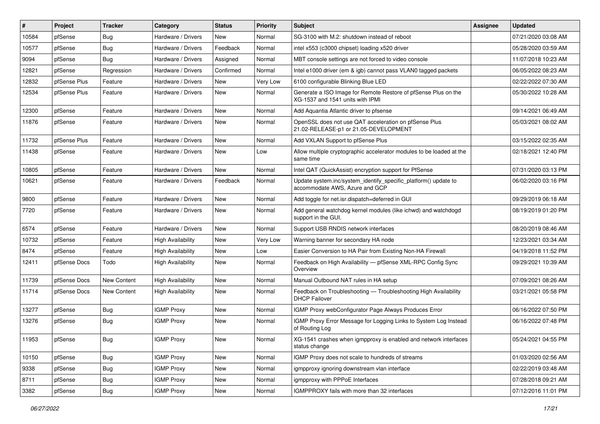| #     | Project      | <b>Tracker</b> | Category                 | <b>Status</b> | <b>Priority</b> | <b>Subject</b>                                                                                     | <b>Assignee</b> | <b>Updated</b>      |
|-------|--------------|----------------|--------------------------|---------------|-----------------|----------------------------------------------------------------------------------------------------|-----------------|---------------------|
| 10584 | pfSense      | <b>Bug</b>     | Hardware / Drivers       | New           | Normal          | SG-3100 with M.2: shutdown instead of reboot                                                       |                 | 07/21/2020 03:08 AM |
| 10577 | pfSense      | <b>Bug</b>     | Hardware / Drivers       | Feedback      | Normal          | intel x553 (c3000 chipset) loading x520 driver                                                     |                 | 05/28/2020 03:59 AM |
| 9094  | pfSense      | Bug            | Hardware / Drivers       | Assigned      | Normal          | MBT console settings are not forced to video console                                               |                 | 11/07/2018 10:23 AM |
| 12821 | pfSense      | Regression     | Hardware / Drivers       | Confirmed     | Normal          | Intel e1000 driver (em & igb) cannot pass VLAN0 tagged packets                                     |                 | 06/05/2022 08:23 AM |
| 12832 | pfSense Plus | Feature        | Hardware / Drivers       | New           | Very Low        | 6100 configurable Blinking Blue LED                                                                |                 | 02/22/2022 07:30 AM |
| 12534 | pfSense Plus | Feature        | Hardware / Drivers       | New           | Normal          | Generate a ISO Image for Remote Restore of pfSense Plus on the<br>XG-1537 and 1541 units with IPMI |                 | 05/30/2022 10:28 AM |
| 12300 | pfSense      | Feature        | Hardware / Drivers       | New           | Normal          | Add Aquantia Atlantic driver to pfsense                                                            |                 | 09/14/2021 06:49 AM |
| 11876 | pfSense      | Feature        | Hardware / Drivers       | New           | Normal          | OpenSSL does not use QAT acceleration on pfSense Plus<br>21.02-RELEASE-p1 or 21.05-DEVELOPMENT     |                 | 05/03/2021 08:02 AM |
| 11732 | pfSense Plus | Feature        | Hardware / Drivers       | <b>New</b>    | Normal          | Add VXLAN Support to pfSense Plus                                                                  |                 | 03/15/2022 02:35 AM |
| 11438 | pfSense      | Feature        | Hardware / Drivers       | New           | Low             | Allow multiple cryptographic accelerator modules to be loaded at the<br>same time                  |                 | 02/18/2021 12:40 PM |
| 10805 | pfSense      | Feature        | Hardware / Drivers       | New           | Normal          | Intel QAT (QuickAssist) encryption support for PfSense                                             |                 | 07/31/2020 03:13 PM |
| 10621 | pfSense      | Feature        | Hardware / Drivers       | Feedback      | Normal          | Update system.inc/system_identify_specific_platform() update to<br>accommodate AWS, Azure and GCP  |                 | 06/02/2020 03:16 PM |
| 9800  | pfSense      | Feature        | Hardware / Drivers       | New           | Normal          | Add toggle for net.isr.dispatch=deferred in GUI                                                    |                 | 09/29/2019 06:18 AM |
| 7720  | pfSense      | Feature        | Hardware / Drivers       | New           | Normal          | Add general watchdog kernel modules (like ichwd) and watchdogd<br>support in the GUI.              |                 | 08/19/2019 01:20 PM |
| 6574  | pfSense      | Feature        | Hardware / Drivers       | New           | Normal          | Support USB RNDIS network interfaces                                                               |                 | 08/20/2019 08:46 AM |
| 10732 | pfSense      | Feature        | High Availability        | New           | Very Low        | Warning banner for secondary HA node                                                               |                 | 12/23/2021 03:34 AM |
| 8474  | pfSense      | Feature        | <b>High Availability</b> | New           | Low             | Easier Conversion to HA Pair from Existing Non-HA Firewall                                         |                 | 04/19/2018 11:52 PM |
| 12411 | pfSense Docs | Todo           | <b>High Availability</b> | New           | Normal          | Feedback on High Availability - pfSense XML-RPC Config Sync<br>Overview                            |                 | 09/29/2021 10:39 AM |
| 11739 | pfSense Docs | New Content    | <b>High Availability</b> | New           | Normal          | Manual Outbound NAT rules in HA setup                                                              |                 | 07/09/2021 08:26 AM |
| 11714 | pfSense Docs | New Content    | <b>High Availability</b> | New           | Normal          | Feedback on Troubleshooting - Troubleshooting High Availability<br><b>DHCP Failover</b>            |                 | 03/21/2021 05:58 PM |
| 13277 | pfSense      | Bug            | <b>IGMP Proxy</b>        | New           | Normal          | IGMP Proxy webConfigurator Page Always Produces Error                                              |                 | 06/16/2022 07:50 PM |
| 13276 | pfSense      | Bug            | IGMP Proxy               | New           | Normal          | IGMP Proxy Error Message for Logging Links to System Log Instead<br>of Routing Log                 |                 | 06/16/2022 07:48 PM |
| 11953 | pfSense      | <b>Bug</b>     | <b>IGMP Proxy</b>        | New           | Normal          | XG-1541 crashes when igmpproxy is enabled and network interfaces<br>status change                  |                 | 05/24/2021 04:55 PM |
| 10150 | pfSense      | Bug            | <b>IGMP Proxy</b>        | New           | Normal          | IGMP Proxy does not scale to hundreds of streams                                                   |                 | 01/03/2020 02:56 AM |
| 9338  | pfSense      | <b>Bug</b>     | <b>IGMP Proxy</b>        | New           | Normal          | igmpproxy ignoring downstream vlan interface                                                       |                 | 02/22/2019 03:48 AM |
| 8711  | pfSense      | <b>Bug</b>     | <b>IGMP Proxy</b>        | New           | Normal          | igmpproxy with PPPoE Interfaces                                                                    |                 | 07/28/2018 09:21 AM |
| 3382  | pfSense      | <b>Bug</b>     | <b>IGMP Proxy</b>        | New           | Normal          | IGMPPROXY fails with more than 32 interfaces                                                       |                 | 07/12/2016 11:01 PM |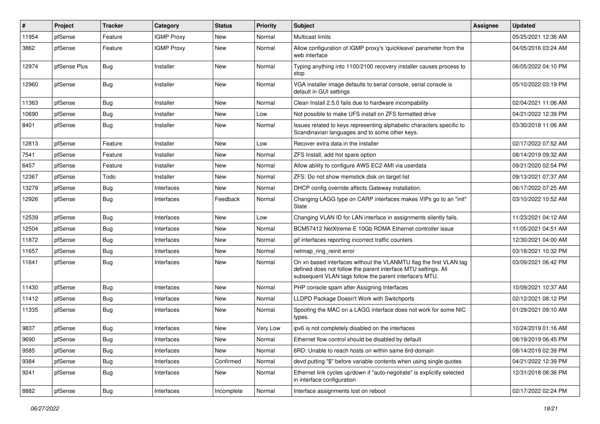| ∦     | Project      | <b>Tracker</b> | Category          | <b>Status</b> | <b>Priority</b> | <b>Subject</b>                                                                                                                                                                                  | <b>Assignee</b> | <b>Updated</b>      |
|-------|--------------|----------------|-------------------|---------------|-----------------|-------------------------------------------------------------------------------------------------------------------------------------------------------------------------------------------------|-----------------|---------------------|
| 11954 | pfSense      | Feature        | <b>IGMP Proxy</b> | New           | Normal          | <b>Multicast limits</b>                                                                                                                                                                         |                 | 05/25/2021 12:36 AM |
| 3862  | pfSense      | Feature        | <b>IGMP Proxy</b> | <b>New</b>    | Normal          | Allow configuration of IGMP proxy's 'quickleave' parameter from the<br>web interface                                                                                                            |                 | 04/05/2016 03:24 AM |
| 12974 | pfSense Plus | Bug            | Installer         | New           | Normal          | Typing anything into 1100/2100 recovery installer causes process to<br>stop                                                                                                                     |                 | 06/05/2022 04:10 PM |
| 12960 | pfSense      | Bug            | Installer         | <b>New</b>    | Normal          | VGA installer image defaults to serial console, serial console is<br>default in GUI settings                                                                                                    |                 | 05/10/2022 03:19 PM |
| 11363 | pfSense      | <b>Bug</b>     | Installer         | New           | Normal          | Clean Install 2.5.0 fails due to hardware incompability                                                                                                                                         |                 | 02/04/2021 11:06 AM |
| 10690 | pfSense      | <b>Bug</b>     | Installer         | New           | Low             | Not possible to make UFS install on ZFS formatted drive                                                                                                                                         |                 | 04/21/2022 12:39 PM |
| 8401  | pfSense      | <b>Bug</b>     | Installer         | New           | Normal          | Issues related to keys representing alphabetic characters specific to<br>Scandinavian languages and to some other keys.                                                                         |                 | 03/30/2018 11:06 AM |
| 12813 | pfSense      | Feature        | Installer         | New           | Low             | Recover extra data in the installer                                                                                                                                                             |                 | 02/17/2022 07:52 AM |
| 7541  | pfSense      | Feature        | Installer         | New           | Normal          | ZFS Install, add hot spare option                                                                                                                                                               |                 | 08/14/2019 09:32 AM |
| 6457  | pfSense      | Feature        | Installer         | New           | Normal          | Allow ability to configure AWS EC2 AMI via userdata                                                                                                                                             |                 | 09/21/2020 02:54 PM |
| 12367 | pfSense      | Todo           | Installer         | New           | Normal          | ZFS: Do not show memstick disk on target list                                                                                                                                                   |                 | 09/13/2021 07:37 AM |
| 13279 | pfSense      | <b>Bug</b>     | Interfaces        | New           | Normal          | DHCP config override affects Gateway installation.                                                                                                                                              |                 | 06/17/2022 07:25 AM |
| 12926 | pfSense      | Bug            | Interfaces        | Feedback      | Normal          | Changing LAGG type on CARP interfaces makes VIPs go to an "init"<br>State                                                                                                                       |                 | 03/10/2022 10:52 AM |
| 12539 | pfSense      | Bug            | Interfaces        | New           | Low             | Changing VLAN ID for LAN interface in assignments silently fails.                                                                                                                               |                 | 11/23/2021 04:12 AM |
| 12504 | pfSense      | <b>Bug</b>     | Interfaces        | New           | Normal          | BCM57412 NetXtreme-E 10Gb RDMA Ethernet controller issue                                                                                                                                        |                 | 11/05/2021 04:51 AM |
| 11872 | pfSense      | <b>Bug</b>     | Interfaces        | New           | Normal          | gif interfaces reporting incorrect traffic counters                                                                                                                                             |                 | 12/30/2021 04:00 AM |
| 11657 | pfSense      | <b>Bug</b>     | Interfaces        | New           | Normal          | netmap_ring_reinit error                                                                                                                                                                        |                 | 03/18/2021 10:32 PM |
| 11641 | pfSense      | Bug            | Interfaces        | New           | Normal          | On xn based interfaces without the VLANMTU flag the first VLAN tag<br>defined does not follow the parent interface MTU settings. All<br>subsequent VLAN tags follow the parent interface's MTU. |                 | 03/09/2021 06:42 PM |
| 11430 | pfSense      | <b>Bug</b>     | Interfaces        | <b>New</b>    | Normal          | PHP console spam after Assigning Interfaces                                                                                                                                                     |                 | 10/09/2021 10:37 AM |
| 11412 | pfSense      | <b>Bug</b>     | Interfaces        | New           | Normal          | LLDPD Package Doesn't Work with Switchports                                                                                                                                                     |                 | 02/12/2021 08:12 PM |
| 11335 | pfSense      | Bug            | Interfaces        | New           | Normal          | Spoofing the MAC on a LAGG interface does not work for some NIC<br>types.                                                                                                                       |                 | 01/29/2021 09:10 AM |
| 9837  | pfSense      | <b>Bug</b>     | Interfaces        | New           | Very Low        | ipv6 is not completely disabled on the interfaces                                                                                                                                               |                 | 10/24/2019 01:16 AM |
| 9690  | pfSense      | Bug            | Interfaces        | New           | Normal          | Ethernet flow control should be disabled by default                                                                                                                                             |                 | 08/19/2019 06:45 PM |
| 9585  | pfSense      | <b>Bug</b>     | Interfaces        | New           | Normal          | 6RD: Unable to reach hosts on within same 6rd-domain                                                                                                                                            |                 | 08/14/2019 02:39 PM |
| 9384  | pfSense      | Bug            | Interfaces        | Confirmed     | Normal          | devd putting "\$" before variable contents when using single quotes                                                                                                                             |                 | 04/21/2022 12:39 PM |
| 9241  | pfSense      | <b>Bug</b>     | Interfaces        | New           | Normal          | Ethernet link cycles up/down if "auto-negotiate" is explicitly selected<br>in interface configuration                                                                                           |                 | 12/31/2018 08:36 PM |
| 8882  | pfSense      | <b>Bug</b>     | Interfaces        | Incomplete    | Normal          | Interface assignments lost on reboot                                                                                                                                                            |                 | 02/17/2022 02:24 PM |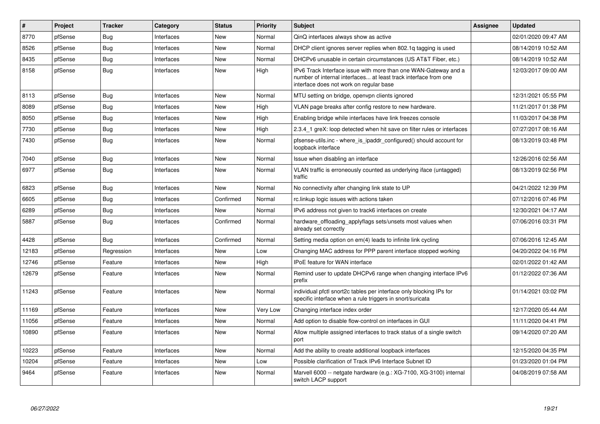| #     | Project | <b>Tracker</b> | Category   | <b>Status</b> | <b>Priority</b> | <b>Subject</b>                                                                                                                                                                | <b>Assignee</b> | <b>Updated</b>      |
|-------|---------|----------------|------------|---------------|-----------------|-------------------------------------------------------------------------------------------------------------------------------------------------------------------------------|-----------------|---------------------|
| 8770  | pfSense | <b>Bug</b>     | Interfaces | <b>New</b>    | Normal          | QinQ interfaces always show as active                                                                                                                                         |                 | 02/01/2020 09:47 AM |
| 8526  | pfSense | Bug            | Interfaces | New           | Normal          | DHCP client ignores server replies when 802.1g tagging is used                                                                                                                |                 | 08/14/2019 10:52 AM |
| 8435  | pfSense | Bug            | Interfaces | New           | Normal          | DHCPv6 unusable in certain circumstances (US AT&T Fiber, etc.)                                                                                                                |                 | 08/14/2019 10:52 AM |
| 8158  | pfSense | Bug            | Interfaces | <b>New</b>    | High            | IPv6 Track Interface issue with more than one WAN-Gateway and a<br>number of internal interfaces at least track interface from one<br>interface does not work on regular base |                 | 12/03/2017 09:00 AM |
| 8113  | pfSense | <b>Bug</b>     | Interfaces | New           | Normal          | MTU setting on bridge, openvpn clients ignored                                                                                                                                |                 | 12/31/2021 05:55 PM |
| 8089  | pfSense | Bug            | Interfaces | New           | High            | VLAN page breaks after config restore to new hardware.                                                                                                                        |                 | 11/21/2017 01:38 PM |
| 8050  | pfSense | <b>Bug</b>     | Interfaces | New           | High            | Enabling bridge while interfaces have link freezes console                                                                                                                    |                 | 11/03/2017 04:38 PM |
| 7730  | pfSense | Bug            | Interfaces | New           | High            | 2.3.4 1 greX: loop detected when hit save on filter rules or interfaces                                                                                                       |                 | 07/27/2017 08:16 AM |
| 7430  | pfSense | Bug            | Interfaces | <b>New</b>    | Normal          | pfsense-utils.inc - where is ipaddr configured() should account for<br>loopback interface                                                                                     |                 | 08/13/2019 03:48 PM |
| 7040  | pfSense | Bug            | Interfaces | New           | Normal          | Issue when disabling an interface                                                                                                                                             |                 | 12/26/2016 02:56 AM |
| 6977  | pfSense | Bug            | Interfaces | <b>New</b>    | Normal          | VLAN traffic is erroneously counted as underlying iface (untagged)<br>traffic                                                                                                 |                 | 08/13/2019 02:56 PM |
| 6823  | pfSense | Bug            | Interfaces | New           | Normal          | No connectivity after changing link state to UP                                                                                                                               |                 | 04/21/2022 12:39 PM |
| 6605  | pfSense | <b>Bug</b>     | Interfaces | Confirmed     | Normal          | rc.linkup logic issues with actions taken                                                                                                                                     |                 | 07/12/2016 07:46 PM |
| 6289  | pfSense | <b>Bug</b>     | Interfaces | New           | Normal          | IPv6 address not given to track6 interfaces on create                                                                                                                         |                 | 12/30/2021 04:17 AM |
| 5887  | pfSense | Bug            | Interfaces | Confirmed     | Normal          | hardware offloading applyflags sets/unsets most values when<br>already set correctly                                                                                          |                 | 07/06/2016 03:31 PM |
| 4428  | pfSense | Bug            | Interfaces | Confirmed     | Normal          | Setting media option on em(4) leads to infinite link cycling                                                                                                                  |                 | 07/06/2016 12:45 AM |
| 12183 | pfSense | Regression     | Interfaces | <b>New</b>    | Low             | Changing MAC address for PPP parent interface stopped working                                                                                                                 |                 | 04/20/2022 04:16 PM |
| 12746 | pfSense | Feature        | Interfaces | <b>New</b>    | High            | <b>IPoE</b> feature for WAN interface                                                                                                                                         |                 | 02/01/2022 01:42 AM |
| 12679 | pfSense | Feature        | Interfaces | New           | Normal          | Remind user to update DHCPv6 range when changing interface IPv6<br>prefix                                                                                                     |                 | 01/12/2022 07:36 AM |
| 11243 | pfSense | Feature        | Interfaces | New           | Normal          | individual pfctl snort2c tables per interface only blocking IPs for<br>specific interface when a rule triggers in snort/suricata                                              |                 | 01/14/2021 03:02 PM |
| 11169 | pfSense | Feature        | Interfaces | <b>New</b>    | Very Low        | Changing interface index order                                                                                                                                                |                 | 12/17/2020 05:44 AM |
| 11056 | pfSense | Feature        | Interfaces | <b>New</b>    | Normal          | Add option to disable flow-control on interfaces in GUI                                                                                                                       |                 | 11/11/2020 04:41 PM |
| 10890 | pfSense | Feature        | Interfaces | New           | Normal          | Allow multiple assigned interfaces to track status of a single switch<br>port                                                                                                 |                 | 09/14/2020 07:20 AM |
| 10223 | pfSense | Feature        | Interfaces | New           | Normal          | Add the ability to create additional loopback interfaces                                                                                                                      |                 | 12/15/2020 04:35 PM |
| 10204 | pfSense | Feature        | Interfaces | New           | Low             | Possible clarification of Track IPv6 Interface Subnet ID                                                                                                                      |                 | 01/23/2020 01:04 PM |
| 9464  | pfSense | Feature        | Interfaces | New           | Normal          | Marvell 6000 -- netgate hardware (e.g.: XG-7100, XG-3100) internal<br>switch LACP support                                                                                     |                 | 04/08/2019 07:58 AM |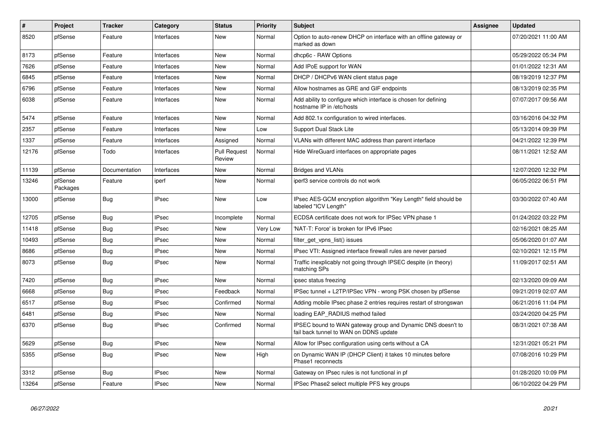| $\vert$ # | Project             | <b>Tracker</b> | Category     | <b>Status</b>                 | <b>Priority</b> | <b>Subject</b>                                                                                        | Assignee | <b>Updated</b>      |
|-----------|---------------------|----------------|--------------|-------------------------------|-----------------|-------------------------------------------------------------------------------------------------------|----------|---------------------|
| 8520      | pfSense             | Feature        | Interfaces   | <b>New</b>                    | Normal          | Option to auto-renew DHCP on interface with an offline gateway or<br>marked as down                   |          | 07/20/2021 11:00 AM |
| 8173      | pfSense             | Feature        | Interfaces   | <b>New</b>                    | Normal          | dhcp6c - RAW Options                                                                                  |          | 05/29/2022 05:34 PM |
| 7626      | pfSense             | Feature        | Interfaces   | New                           | Normal          | Add IPoE support for WAN                                                                              |          | 01/01/2022 12:31 AM |
| 6845      | pfSense             | Feature        | Interfaces   | New                           | Normal          | DHCP / DHCPv6 WAN client status page                                                                  |          | 08/19/2019 12:37 PM |
| 6796      | pfSense             | Feature        | Interfaces   | New                           | Normal          | Allow hostnames as GRE and GIF endpoints                                                              |          | 08/13/2019 02:35 PM |
| 6038      | pfSense             | Feature        | Interfaces   | New                           | Normal          | Add ability to configure which interface is chosen for defining<br>hostname IP in /etc/hosts          |          | 07/07/2017 09:56 AM |
| 5474      | pfSense             | Feature        | Interfaces   | New                           | Normal          | Add 802.1x configuration to wired interfaces.                                                         |          | 03/16/2016 04:32 PM |
| 2357      | pfSense             | Feature        | Interfaces   | New                           | Low             | Support Dual Stack Lite                                                                               |          | 05/13/2014 09:39 PM |
| 1337      | pfSense             | Feature        | Interfaces   | Assigned                      | Normal          | VLANs with different MAC address than parent interface                                                |          | 04/21/2022 12:39 PM |
| 12176     | pfSense             | Todo           | Interfaces   | <b>Pull Request</b><br>Review | Normal          | Hide WireGuard interfaces on appropriate pages                                                        |          | 08/11/2021 12:52 AM |
| 11139     | pfSense             | Documentation  | Interfaces   | <b>New</b>                    | Normal          | <b>Bridges and VLANs</b>                                                                              |          | 12/07/2020 12:32 PM |
| 13246     | pfSense<br>Packages | Feature        | iperf        | New                           | Normal          | iperf3 service controls do not work                                                                   |          | 06/05/2022 06:51 PM |
| 13000     | pfSense             | Bug            | <b>IPsec</b> | New                           | Low             | IPsec AES-GCM encryption algorithm "Key Length" field should be<br>labeled "ICV Length"               |          | 03/30/2022 07:40 AM |
| 12705     | pfSense             | Bug            | <b>IPsec</b> | Incomplete                    | Normal          | ECDSA certificate does not work for IPSec VPN phase 1                                                 |          | 01/24/2022 03:22 PM |
| 11418     | pfSense             | <b>Bug</b>     | <b>IPsec</b> | <b>New</b>                    | <b>Very Low</b> | 'NAT-T: Force' is broken for IPv6 IPsec                                                               |          | 02/16/2021 08:25 AM |
| 10493     | pfSense             | Bug            | <b>IPsec</b> | <b>New</b>                    | Normal          | filter get vpns list() issues                                                                         |          | 05/06/2020 01:07 AM |
| 8686      | pfSense             | <b>Bug</b>     | <b>IPsec</b> | New                           | Normal          | IPsec VTI: Assigned interface firewall rules are never parsed                                         |          | 02/10/2021 12:15 PM |
| 8073      | pfSense             | <b>Bug</b>     | <b>IPsec</b> | New                           | Normal          | Traffic inexplicably not going through IPSEC despite (in theory)<br>matching SPs                      |          | 11/09/2017 02:51 AM |
| 7420      | pfSense             | <b>Bug</b>     | <b>IPsec</b> | <b>New</b>                    | Normal          | ipsec status freezing                                                                                 |          | 02/13/2020 09:09 AM |
| 6668      | pfSense             | Bug            | <b>IPsec</b> | Feedback                      | Normal          | IPSec tunnel + L2TP/IPSec VPN - wrong PSK chosen by pfSense                                           |          | 09/21/2019 02:07 AM |
| 6517      | pfSense             | Bug            | <b>IPsec</b> | Confirmed                     | Normal          | Adding mobile IPsec phase 2 entries requires restart of strongswan                                    |          | 06/21/2016 11:04 PM |
| 6481      | pfSense             | <b>Bug</b>     | <b>IPsec</b> | <b>New</b>                    | Normal          | loading EAP_RADIUS method failed                                                                      |          | 03/24/2020 04:25 PM |
| 6370      | pfSense             | Bug            | <b>IPsec</b> | Confirmed                     | Normal          | IPSEC bound to WAN gateway group and Dynamic DNS doesn't to<br>fail back tunnel to WAN on DDNS update |          | 08/31/2021 07:38 AM |
| 5629      | pfSense             | Bug            | <b>IPsec</b> | New                           | Normal          | Allow for IPsec configuration using certs without a CA                                                |          | 12/31/2021 05:21 PM |
| 5355      | pfSense             | <b>Bug</b>     | <b>IPsec</b> | New                           | High            | on Dynamic WAN IP (DHCP Client) it takes 10 minutes before<br>Phase1 reconnects                       |          | 07/08/2016 10:29 PM |
| 3312      | pfSense             | <b>Bug</b>     | <b>IPsec</b> | New                           | Normal          | Gateway on IPsec rules is not functional in pf                                                        |          | 01/28/2020 10:09 PM |
| 13264     | pfSense             | Feature        | <b>IPsec</b> | New                           | Normal          | IPSec Phase2 select multiple PFS key groups                                                           |          | 06/10/2022 04:29 PM |